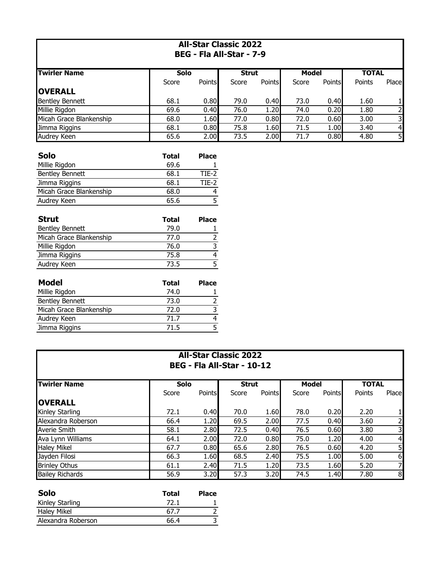| <b>All-Star Classic 2022</b><br>BEG - Fla All-Star - 7-9 |              |                         |              |        |              |                   |              |                |
|----------------------------------------------------------|--------------|-------------------------|--------------|--------|--------------|-------------------|--------------|----------------|
| <b>Twirler Name</b>                                      | <b>Solo</b>  |                         | <b>Strut</b> |        | <b>Model</b> |                   | <b>TOTAL</b> |                |
|                                                          | Score        | Points                  | Score        | Points | Score        | <b>Points</b>     | Points       | Place          |
| <b>OVERALL</b>                                           |              |                         |              |        |              |                   |              |                |
| <b>Bentley Bennett</b>                                   | 68.1         | 0.80                    | 79.0         | 0.40   | 73.0         | 0.40              | 1.60         | 1              |
| Millie Rigdon                                            | 69.6         | 0.40                    | 76.0         | 1.20   | 74.0         | 0.20              | 1.80         | $\overline{2}$ |
| Micah Grace Blankenship                                  | 68.0         | 1.60                    | 77.0         | 0.80   | 72.0         | 0.60              | 3.00         | 3              |
| Jimma Riggins                                            | 68.1         | 0.80                    | 75.8         | 1.60   | 71.5         | 1.00              | 3.40         | 4              |
| <b>Audrey Keen</b>                                       | 65.6         | 2.00                    | 73.5         | 2.00   | 71.7         | $\overline{0.80}$ | 4.80         | $\overline{5}$ |
| <b>Solo</b>                                              | <b>Total</b> | <b>Place</b>            |              |        |              |                   |              |                |
| Millie Rigdon                                            | 69.6         |                         |              |        |              |                   |              |                |
| <b>Bentley Bennett</b>                                   | 68.1         | $TIE-2$                 |              |        |              |                   |              |                |
| Jimma Riggins                                            | 68.1         | $TIE-2$                 |              |        |              |                   |              |                |
| Micah Grace Blankenship                                  | 68.0         | 4                       |              |        |              |                   |              |                |
| Audrey Keen                                              | 65.6         | $\overline{5}$          |              |        |              |                   |              |                |
| <b>Strut</b>                                             | <b>Total</b> | <b>Place</b>            |              |        |              |                   |              |                |
| <b>Bentley Bennett</b>                                   | 79.0         | 1                       |              |        |              |                   |              |                |
| Micah Grace Blankenship                                  | 77.0         | $\overline{2}$          |              |        |              |                   |              |                |
| Millie Rigdon                                            | 76.0         | $\overline{3}$          |              |        |              |                   |              |                |
| Jimma Riggins                                            | 75.8         | $\overline{4}$          |              |        |              |                   |              |                |
| Audrey Keen                                              | 73.5         | $\overline{5}$          |              |        |              |                   |              |                |
| <b>Model</b>                                             | <b>Total</b> | <b>Place</b>            |              |        |              |                   |              |                |
| Millie Rigdon                                            | 74.0         | 1                       |              |        |              |                   |              |                |
| <b>Bentley Bennett</b>                                   | 73.0         | $\overline{2}$          |              |        |              |                   |              |                |
| Micah Grace Blankenship                                  | 72.0         | $\overline{3}$          |              |        |              |                   |              |                |
| Audrey Keen                                              | 71.7         | $\overline{\mathbf{r}}$ |              |        |              |                   |              |                |
| Jimma Riggins                                            | 71.5         | $\overline{5}$          |              |        |              |                   |              |                |
|                                                          |              |                         |              |        |              |                   |              |                |

| <b>All-Star Classic 2022</b><br>BEG - Fla All-Star - 10-12 |       |               |              |        |       |               |              |                |
|------------------------------------------------------------|-------|---------------|--------------|--------|-------|---------------|--------------|----------------|
| <b>Twirler Name</b>                                        | Solo  |               | <b>Strut</b> |        | Model |               | <b>TOTAL</b> |                |
|                                                            | Score | <b>Points</b> | Score        | Points | Score | <b>Points</b> | Points       | Place          |
| <b>loverall</b>                                            |       |               |              |        |       |               |              |                |
| Kinley Starling                                            | 72.1  | 0.40          | 70.0         | 1.60   | 78.0  | 0.20          | 2.20         |                |
| Alexandra Roberson                                         | 66.4  | 1.20          | 69.5         | 2.00   | 77.5  | 0.40          | 3.60         | $\mathsf{2}$   |
| <b>Averie Smith</b>                                        | 58.1  | 2.80          | 72.5         | 0.40   | 76.5  | 0.60          | 3.80         | 3I             |
| Ava Lynn Williams                                          | 64.1  | 2.00          | 72.0         | 0.80   | 75.0  | 1.20          | 4.00         | $\overline{4}$ |
| <b>Haley Mikel</b>                                         | 67.7  | 0.80          | 65.6         | 2.80   | 76.5  | 0.60          | 4.20         | 5              |
| Jayden Filosi                                              | 66.3  | 1.60          | 68.5         | 2.40   | 75.5  | 1.00          | 5.00         | $6 \mid$       |
| <b>Brinley Othus</b>                                       | 61.1  | 2.40          | 71.5         | 1.20   | 73.5  | 1.60          | 5.20         | 71             |
| <b>Bailey Richards</b>                                     | 56.9  | 3.20          | 57.3         | 3.20   | 74.5  | 1.40          | 7.80         | 8              |

| <b>Solo</b>        | Total | <b>Place</b> |
|--------------------|-------|--------------|
| Kinley Starling    | 72.1  |              |
| <b>Haley Mikel</b> | 67.7  |              |
| Alexandra Roberson | 66.4  |              |
|                    |       |              |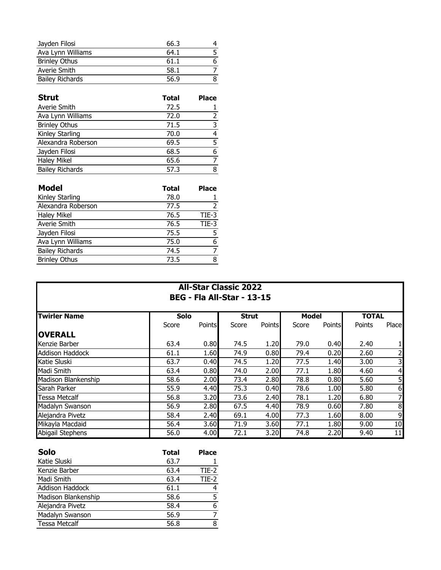| Jayden Filosi          | 66.3 |   |
|------------------------|------|---|
| Ava Lynn Williams      | 64.1 |   |
| <b>Brinley Othus</b>   | 61.1 | 6 |
| Averie Smith           | 58.1 |   |
| <b>Bailey Richards</b> | 56.9 |   |

| <b>Strut</b>           | <b>Total</b> | <b>Place</b> |
|------------------------|--------------|--------------|
| Averie Smith           | 72.5         |              |
| Ava Lynn Williams      | 72.0         |              |
| <b>Brinley Othus</b>   | 71.5         |              |
| Kinley Starling        | 70.0         | 4            |
| Alexandra Roberson     | 69.5         | 5            |
| Jayden Filosi          | 68.5         |              |
| <b>Haley Mikel</b>     | 65.6         |              |
| <b>Bailey Richards</b> | 57.3         | 8            |

| <b>Model</b>           | <b>Total</b> | <b>Place</b> |
|------------------------|--------------|--------------|
| Kinley Starling        | 78.0         |              |
| Alexandra Roberson     | 77.5         |              |
| <b>Haley Mikel</b>     | 76.5         | TIE-3        |
| Averie Smith           | 76.5         | TIE-3        |
| Jayden Filosi          | 75.5         |              |
| Ava Lynn Williams      | 75.0         | 6            |
| <b>Bailey Richards</b> | 74.5         |              |
| <b>Brinley Othus</b>   | 73.5         | 8            |

## **All-Star Classic 2022 BEG - Fla All-Star - 13-15**

| <b>Twirler Name</b>    | <b>Solo</b> |        | <b>Strut</b> |               | <b>Model</b> |        | <b>TOTAL</b> |                |
|------------------------|-------------|--------|--------------|---------------|--------------|--------|--------------|----------------|
|                        | Score       | Points | Score        | <b>Points</b> | Score        | Points | Points       | Place          |
| <b>OVERALL</b>         |             |        |              |               |              |        |              |                |
| Kenzie Barber          | 63.4        | 0.80   | 74.5         | 1.20          | 79.0         | 0.40   | 2.40         |                |
| <b>Addison Haddock</b> | 61.1        | 1.60   | 74.9         | 0.80          | 79.4         | 0.20   | 2.60         | $\overline{2}$ |
| Katie Sluski           | 63.7        | 0.40   | 74.5         | 1.20          | 77.5         | 1.40   | 3.00         | 3۱             |
| Madi Smith             | 63.4        | 0.80   | 74.0         | 2.00          | 77.1         | 1.80   | 4.60         | 4              |
| Madison Blankenship    | 58.6        | 2.00   | 73.4         | 2.80          | 78.8         | 0.80   | 5.60         | 5              |
| Sarah Parker           | 55.9        | 4.40   | 75.3         | 0.40          | 78.6         | 1.00   | 5.80         | $6 \mid$       |
| <b>Tessa Metcalf</b>   | 56.8        | 3.20   | 73.6         | 2.40          | 78.1         | 1.20   | 6.80         | 71             |
| Madalyn Swanson        | 56.9        | 2.80   | 67.5         | 4.40          | 78.9         | 0.60   | 7.80         | 8 <sup>1</sup> |
| Alejandra Pivetz       | 58.4        | 2.40   | 69.1         | 4.00          | 77.3         | 1.60   | 8.00         | 9              |
| Mikayla Macdaid        | 56.4        | 3.60   | 71.9         | 3.60          | 77.1         | 1.80   | 9.00         | 10             |
| Abigail Stephens       | 56.0        | 4.00   | 72.1         | 3.20          | 74.8         | 2.20   | 9.40         | 11             |

| <b>Solo</b>          | <b>Total</b> | <b>Place</b> |
|----------------------|--------------|--------------|
| Katie Sluski         | 63.7         |              |
| Kenzie Barber        | 63.4         | TIE-2        |
| Madi Smith           | 63.4         | $TIE-2$      |
| Addison Haddock      | 61.1         |              |
| Madison Blankenship  | 58.6         |              |
| Alejandra Pivetz     | 58.4         | 6            |
| Madalyn Swanson      | 56.9         |              |
| <b>Tessa Metcalf</b> | 56.8         | 8            |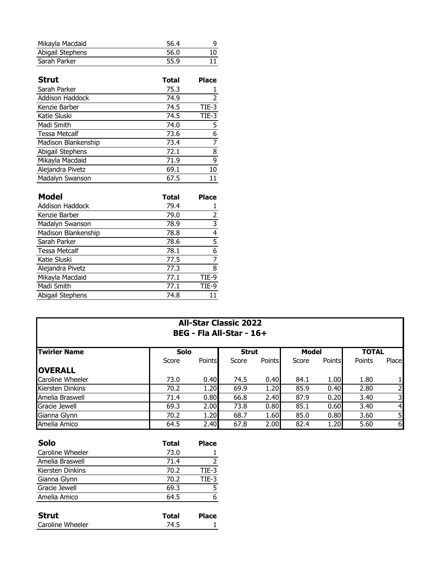| Mikayla Macdaid  | 56.4 |    |
|------------------|------|----|
| Abigail Stephens | 56.0 |    |
| Sarah Parker     | 55.9 | 11 |

| <b>Strut</b>         | <b>Total</b> | <b>Place</b> |
|----------------------|--------------|--------------|
| Sarah Parker         | 75.3         |              |
| Addison Haddock      | 74.9         | 2            |
| Kenzie Barber        | 74.5         | TIE-3        |
| Katie Sluski         | 74.5         | TIE-3        |
| Madi Smith           | 74.0         | 5            |
| <b>Tessa Metcalf</b> | 73.6         | 6            |
| Madison Blankenship  | 73.4         |              |
| Abigail Stephens     | 72.1         | 8            |
| Mikayla Macdaid      | 71.9         | 9            |
| Alejandra Pivetz     | 69.1         | 10           |
| Madalyn Swanson      | 67.5         |              |

| <b>Model</b>         | <b>Total</b> | <b>Place</b> |
|----------------------|--------------|--------------|
| Addison Haddock      | 79.4         |              |
| Kenzie Barber        | 79.0         | 2            |
| Madalyn Swanson      | 78.9         | 3            |
| Madison Blankenship  | 78.8         | 4            |
| Sarah Parker         | 78.6         | 5            |
| <b>Tessa Metcalf</b> | 78.1         | 6            |
| Katie Sluski         | 77.5         |              |
| Alejandra Pivetz     | 77.3         | 8            |
| Mikayla Macdaid      | 77.1         | TIE-9        |
| Madi Smith           | 77.1         | TIE-9        |
| Abigail Stephens     | 74.8         |              |

## **All-Star Classic 2022 BEG - Fla All-Star - 16+**

| <b>Twirler Name</b> | <b>Solo</b> |               | <b>Strut</b> |               | Model |               | <b>TOTAL</b> |                |
|---------------------|-------------|---------------|--------------|---------------|-------|---------------|--------------|----------------|
|                     | Score       | <b>Points</b> | Score        | <b>Points</b> | Score | <b>Points</b> | Points       | Place          |
| <b>OVERALL</b>      |             |               |              |               |       |               |              |                |
| Caroline Wheeler    | 73.0        | 0.40          | 74.5         | 0.40          | 84.1  | 1.00          | 1.80         | 11             |
| Kiersten Dinkins    | 70.2        | 1.20          | 69.9         | 1.20          | 85.9  | 0.40          | 2.80         |                |
| Amelia Braswell     | 71.4        | 0.80          | 66.8         | 2.40          | 87.9  | 0.20          | 3.40         | 3 <sup>1</sup> |
| Gracie Jewell       | 69.3        | 2.00          | 73.8         | 0.80          | 85.1  | 0.60          | 3.40         | $\overline{4}$ |
| Gianna Glynn        | 70.2        | 1.20          | 68.7         | 1.60          | 85.0  | 0.80          | 3.60         | 5 <sub>l</sub> |
| Amelia Amico        | 64.5        | 2.40          | 67.8         | 2.00          | 82.4  | 1.20          | 5.60         | $6 \mid$       |

| Solo             | Total | <b>Place</b>   |
|------------------|-------|----------------|
| Caroline Wheeler | 73.0  |                |
| Amelia Braswell  | 71.4  | $\overline{2}$ |
| Kiersten Dinkins | 70.2  | TIE-3          |
| Gianna Glynn     | 70.2  | TIE-3          |
| Gracie Jewell    | 69.3  | 5              |
| Amelia Amico     | 64.5  | 6              |
|                  |       |                |
| <b>Strut</b>     | Total | Place          |
| Caroline Wheeler | 74.5  |                |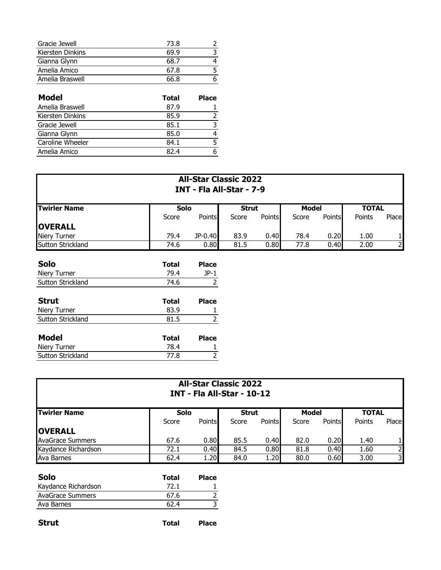| Gracie Jewell    | 73.8 |  |
|------------------|------|--|
| Kiersten Dinkins | 69.9 |  |
| Gianna Glynn     | 68.7 |  |
| Amelia Amico     | 67.8 |  |
| Amelia Braswell  | 66.8 |  |
|                  |      |  |

| <b>Model</b>     | Total | <b>Place</b> |
|------------------|-------|--------------|
| Amelia Braswell  | 87.9  |              |
| Kiersten Dinkins | 85.9  |              |
| Gracie Jewell    | 85.1  |              |
| Gianna Glynn     | 85.0  |              |
| Caroline Wheeler | 84.1  |              |
| Amelia Amico     | 82 4  |              |

| <b>All-Star Classic 2022</b><br>INT - Fla All-Star - 7-9 |              |              |              |               |              |        |              |                |
|----------------------------------------------------------|--------------|--------------|--------------|---------------|--------------|--------|--------------|----------------|
| <b>Twirler Name</b>                                      | Solo         |              | <b>Strut</b> |               | <b>Model</b> |        | <b>TOTAL</b> |                |
|                                                          | Score        | Points       | Score        | <b>Points</b> | Score        | Points | Points       | Place          |
| <b>OVERALL</b>                                           |              |              |              |               |              |        |              |                |
| <b>Niery Turner</b>                                      | 79.4         | JP-0.40      | 83.9         | 0.40          | 78.4         | 0.20   | 1.00         | 1              |
| <b>Sutton Strickland</b>                                 | 74.6         | 0.80         | 81.5         | 0.80          | 77.8         | 0.40   | 2.00         | $\overline{2}$ |
| <b>Solo</b>                                              | <b>Total</b> | <b>Place</b> |              |               |              |        |              |                |
| Niery Turner                                             | 79.4         | $JP-1$       |              |               |              |        |              |                |
| Sutton Strickland                                        | 74.6         | 2            |              |               |              |        |              |                |
| <b>Strut</b>                                             | <b>Total</b> | <b>Place</b> |              |               |              |        |              |                |
| Niery Turner                                             | 83.9         |              |              |               |              |        |              |                |
| Sutton Strickland                                        | 81.5         |              |              |               |              |        |              |                |

| Model                    | Total | <b>Place</b> |
|--------------------------|-------|--------------|
| Niery Turner             | 78.4  |              |
| <b>Sutton Strickland</b> | 77.8  |              |
|                          |       |              |

| <b>All-Star Classic 2022</b><br><b>INT - Fla All-Star - 10-12</b> |       |                      |       |               |       |               |              |       |
|-------------------------------------------------------------------|-------|----------------------|-------|---------------|-------|---------------|--------------|-------|
| Twirler Name                                                      |       | Solo<br><b>Strut</b> |       |               | Model |               | <b>TOTAL</b> |       |
|                                                                   | Score | <b>Points</b>        | Score | <b>Points</b> | Score | <b>Points</b> | Points       | Place |
| <b>OVERALL</b>                                                    |       |                      |       |               |       |               |              |       |
| <b>AvaGrace Summers</b>                                           | 67.6  | 0.80                 | 85.5  | 0.40          | 82.0  | 0.20          | 1.40         |       |
| Kaydance Richardson                                               | 72.1  | 0.40                 | 84.5  | 0.80          | 81.8  | 0.40          | 1.60         |       |
| Ava Barnes                                                        | 62.4  | 1.20                 | 84.0  | 1.20          | 80.0  | 0.60          | 3.00         | 31    |

| Solo                    | Total | <b>Place</b> |
|-------------------------|-------|--------------|
| Kaydance Richardson     | 72.1  |              |
| <b>AvaGrace Summers</b> | 67.6  |              |
| Ava Barnes              | 67 4  |              |
|                         |       |              |

| <b>Strut</b> | Total | <b>Place</b> |
|--------------|-------|--------------|
|              |       |              |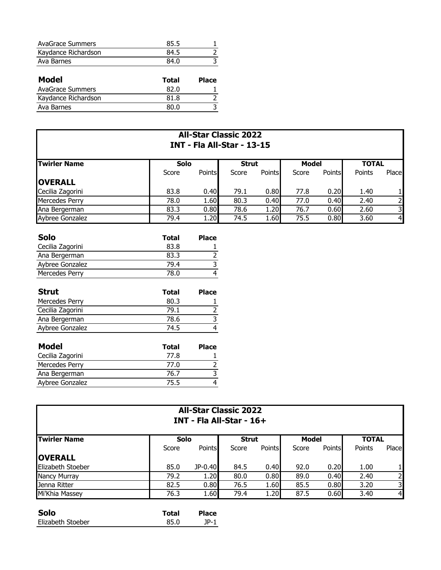| <b>AvaGrace Summers</b> | 85.5  |              |
|-------------------------|-------|--------------|
| Kaydance Richardson     | 84.5  |              |
| Ava Barnes              | 84.0  |              |
|                         |       |              |
|                         |       |              |
| Model                   | Total | <b>Place</b> |
| <b>AvaGrace Summers</b> | 82.0  |              |
| Kaydance Richardson     | 81.8  |              |

| <b>All-Star Classic 2022</b><br><b>INT - Fla All-Star - 13-15</b> |             |               |              |               |              |        |              |                |
|-------------------------------------------------------------------|-------------|---------------|--------------|---------------|--------------|--------|--------------|----------------|
| <b>Twirler Name</b>                                               | <b>Solo</b> |               | <b>Strut</b> |               | <b>Model</b> |        | <b>TOTAL</b> |                |
|                                                                   | Score       | <b>Points</b> | Score        | <b>Points</b> | Score        | Points | Points       | Place          |
| <b>OVERALL</b>                                                    |             |               |              |               |              |        |              |                |
| Cecilia Zagorini                                                  | 83.8        | 0.40          | 79.1         | 0.80          | 77.8         | 0.20   | 1.40         |                |
| Mercedes Perry                                                    | 78.0        | 1.60          | 80.3         | 0.40          | 77.0         | 0.40   | 2.40         |                |
| Ana Bergerman                                                     | 83.3        | 0.80          | 78.6         | 1.20          | 76.7         | 0.60   | 2.60         | 3              |
| Aybree Gonzalez                                                   | 79.4        | 1.20          | 74.5         | 1.60          | 75.5         | 0.80   | 3.60         | $\overline{4}$ |

| <b>Solo</b>      | Total | <b>Place</b> |
|------------------|-------|--------------|
| Cecilia Zagorini | 83.8  |              |
| Ana Bergerman    | 83.3  |              |
| Aybree Gonzalez  | 79.4  |              |
| Mercedes Perry   | 78.0  |              |

| <b>Strut</b>     | Total | <b>Place</b> |
|------------------|-------|--------------|
| Mercedes Perry   | 80.3  |              |
| Cecilia Zagorini | 79.1  |              |
| Ana Bergerman    | 78.6  |              |
| Aybree Gonzalez  | 74.5  |              |

| Total | <b>Place</b> |
|-------|--------------|
| 77.8  |              |
| 77.0  |              |
| 76.7  |              |
| 75.5  |              |
|       |              |

| <b>All-Star Classic 2022</b><br><b>INT - Fla All-Star - 16+</b> |             |               |              |               |       |               |        |                |  |  |
|-----------------------------------------------------------------|-------------|---------------|--------------|---------------|-------|---------------|--------|----------------|--|--|
| <b>Twirler Name</b>                                             | <b>Solo</b> |               | <b>Strut</b> |               |       | Model         |        | <b>TOTAL</b>   |  |  |
|                                                                 | Score       | <b>Points</b> | Score        | <b>Points</b> | Score | <b>Points</b> | Points | Place          |  |  |
| <b>OVERALL</b>                                                  |             |               |              |               |       |               |        |                |  |  |
| Elizabeth Stoeber                                               | 85.0        | JP-0.40       | 84.5         | 0.40          | 92.0  | 0.20          | 1.00   |                |  |  |
| Nancy Murray                                                    | 79.2        | 1.20          | 80.0         | 0.80          | 89.0  | 0.40          | 2.40   | $\overline{2}$ |  |  |
| Jenna Ritter                                                    | 82.5        | 0.80          | 76.5         | 1.60          | 85.5  | 0.80          | 3.20   | 3              |  |  |
| Mi'Khia Massey                                                  | 76.3        | 1.60          | 79.4         | 1.20          | 87.5  | 0.60          | 3.40   | $\overline{4}$ |  |  |

| <b>Solo</b>       | Total | <b>Place</b> |
|-------------------|-------|--------------|
| Elizabeth Stoeber | 85.0  | 1D. 1        |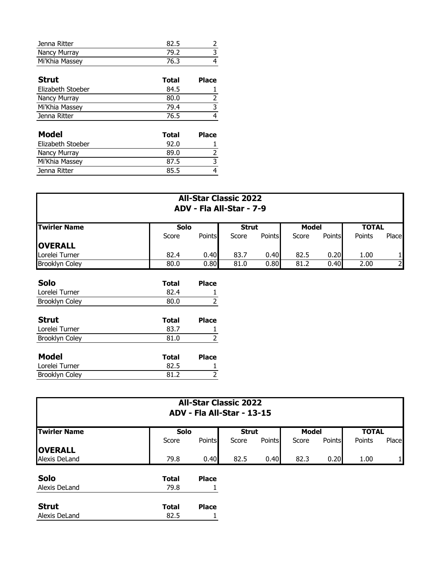| Jenna Ritter      | 82.5         | 2            |
|-------------------|--------------|--------------|
| Nancy Murray      | 79.2         | 3            |
| Mi'Khia Massey    | 76.3         | 4            |
|                   |              |              |
| Strut             | <b>Total</b> | <b>Place</b> |
| Elizabeth Stoeber | 84.5         |              |
| Nancy Murray      | 80.0         | 2            |
| Mi'Khia Massey    | 79.4         | 3            |
| Jenna Ritter      | 76.5         | 4            |
|                   |              |              |
| <b>Model</b>      | <b>Total</b> | <b>Place</b> |
| Elizabeth Stoeber | 92.0         |              |
| Nancy Murray      | 89.0         | 2            |
| Mi'Khia Massey    | 87.5         | 3            |
| Jenna Ritter      | 85.5         | 4            |

| <b>All-Star Classic 2022</b><br>ADV - Fla All-Star - 7-9 |              |                |              |               |              |               |              |              |
|----------------------------------------------------------|--------------|----------------|--------------|---------------|--------------|---------------|--------------|--------------|
| <b>Twirler Name</b>                                      | Solo         |                | <b>Strut</b> |               | <b>Model</b> |               | <b>TOTAL</b> |              |
|                                                          | Score        | Points         | Score        | <b>Points</b> | Score        | <b>Points</b> | Points       | Place        |
| <b>OVERALL</b>                                           |              |                |              |               |              |               |              |              |
| Lorelei Turner                                           | 82.4         | 0.40           | 83.7         | 0.40          | 82.5         | 0.20          | 1.00         | $\mathbf{1}$ |
| <b>Brooklyn Coley</b>                                    | 80.0         | 0.80           | 81.0         | 0.80          | 81.2         | 0.40          | 2.00         | $2 \mid$     |
| <b>Solo</b>                                              | <b>Total</b> | <b>Place</b>   |              |               |              |               |              |              |
| Lorelei Turner                                           | 82.4         | 1              |              |               |              |               |              |              |
| <b>Brooklyn Coley</b>                                    | 80.0         | $\overline{2}$ |              |               |              |               |              |              |
| <b>Strut</b>                                             | <b>Total</b> | <b>Place</b>   |              |               |              |               |              |              |
| Lorelei Turner                                           | 83.7         |                |              |               |              |               |              |              |
| <b>Brooklyn Coley</b>                                    | 81.0         | $\overline{2}$ |              |               |              |               |              |              |
| <b>Model</b>                                             | <b>Total</b> | <b>Place</b>   |              |               |              |               |              |              |
| Lorelei Turner                                           | 82.5         |                |              |               |              |               |              |              |
| <b>Brooklyn Coley</b>                                    | 81.2         | 2              |              |               |              |               |              |              |

| <b>All-Star Classic 2022</b><br>ADV - Fla All-Star - 13-15 |              |               |              |        |              |        |              |       |
|------------------------------------------------------------|--------------|---------------|--------------|--------|--------------|--------|--------------|-------|
| <b>Twirler Name</b>                                        | <b>Solo</b>  |               | <b>Strut</b> |        | <b>Model</b> |        | <b>TOTAL</b> |       |
|                                                            | Score        | <b>Points</b> | Score        | Points | Score        | Points | Points       | Place |
| <b>OVERALL</b>                                             |              |               |              |        |              |        |              |       |
| Alexis DeLand                                              | 79.8         | 0.40          | 82.5         | 0.40   | 82.3         | 0.20   | 1.00         |       |
| <b>Solo</b>                                                | <b>Total</b> | <b>Place</b>  |              |        |              |        |              |       |
| Alexis DeLand                                              | 79.8         |               |              |        |              |        |              |       |
| <b>Strut</b>                                               | <b>Total</b> | <b>Place</b>  |              |        |              |        |              |       |
| Alexis DeLand                                              | 82.5         |               |              |        |              |        |              |       |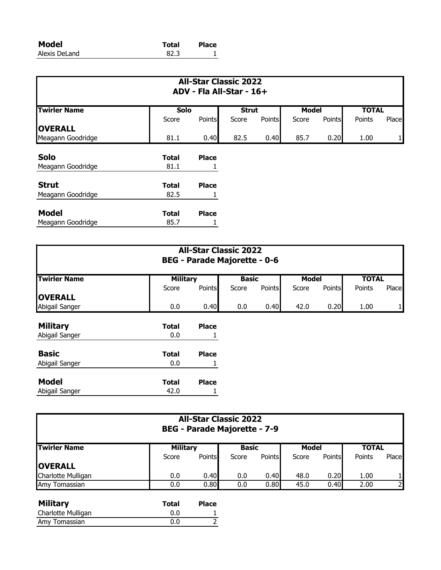| Model         | <b>Total</b> | <b>Place</b> |
|---------------|--------------|--------------|
| Alexis DeLand | 82.3         |              |

| <b>All-Star Classic 2022</b><br>ADV - Fla All-Star - 16+ |              |               |              |        |              |               |              |       |
|----------------------------------------------------------|--------------|---------------|--------------|--------|--------------|---------------|--------------|-------|
| <b>Twirler Name</b>                                      | Solo         |               | <b>Strut</b> |        | <b>Model</b> |               | <b>TOTAL</b> |       |
|                                                          | Score        | <b>Points</b> | Score        | Points | Score        | <b>Points</b> | Points       | Place |
| <b>OVERALL</b>                                           |              |               |              |        |              |               |              |       |
| Meagann Goodridge                                        | 81.1         | 0.40          | 82.5         | 0.40   | 85.7         | 0.20          | 1.00         |       |
| <b>Solo</b>                                              | <b>Total</b> | <b>Place</b>  |              |        |              |               |              |       |
| Meagann Goodridge                                        | 81.1         |               |              |        |              |               |              |       |
| <b>Strut</b>                                             | <b>Total</b> | <b>Place</b>  |              |        |              |               |              |       |
| Meagann Goodridge                                        | 82.5         |               |              |        |              |               |              |       |
| <b>Model</b>                                             | <b>Total</b> | <b>Place</b>  |              |        |              |               |              |       |
| Meagann Goodridge                                        | 85.7         |               |              |        |              |               |              |       |

| <b>All-Star Classic 2022</b><br><b>BEG - Parade Majorette - 0-6</b> |                 |              |              |        |              |               |              |       |
|---------------------------------------------------------------------|-----------------|--------------|--------------|--------|--------------|---------------|--------------|-------|
| <b>Twirler Name</b>                                                 | <b>Military</b> |              | <b>Basic</b> |        | <b>Model</b> |               | <b>TOTAL</b> |       |
|                                                                     | Score           | Points       | Score        | Points | Score        | <b>Points</b> | Points       | Place |
| <b>OVERALL</b><br>Abigail Sanger                                    | 0.0             | 0.40         | 0.0          | 0.40   | 42.0         | 0.20          | 1.00         |       |
| <b>Military</b>                                                     | <b>Total</b>    | <b>Place</b> |              |        |              |               |              |       |
| Abigail Sanger                                                      | 0.0             |              |              |        |              |               |              |       |
| <b>Basic</b>                                                        | <b>Total</b>    | <b>Place</b> |              |        |              |               |              |       |
| Abigail Sanger                                                      | 0.0             |              |              |        |              |               |              |       |
| <b>Model</b>                                                        | <b>Total</b>    | <b>Place</b> |              |        |              |               |              |       |
| Abigail Sanger                                                      | 42.0            |              |              |        |              |               |              |       |

| <b>All-Star Classic 2022</b><br><b>BEG - Parade Majorette - 7-9</b> |                 |               |              |               |       |        |              |                |
|---------------------------------------------------------------------|-----------------|---------------|--------------|---------------|-------|--------|--------------|----------------|
| <b>Twirler Name</b>                                                 | <b>Military</b> |               | <b>Basic</b> |               | Model |        | <b>TOTAL</b> |                |
|                                                                     | Score           | <b>Points</b> | Score        | <b>Points</b> | Score | Points | Points       | Place          |
| <b>OVERALL</b>                                                      |                 |               |              |               |       |        |              |                |
| Charlotte Mulligan                                                  | 0.0             | 0.40          | 0.0          | 0.40          | 48.0  | 0.20   | 1.00         |                |
| Amy<br>Tomassian                                                    | 0.0             | 0.80          | 0.0          | 0.80          | 45.0  | 0.40   | 2.00         | $\overline{2}$ |

| <b>Military</b>    | <b>Total</b> | <b>Place</b> |
|--------------------|--------------|--------------|
| Charlotte Mulligan | 0.0          |              |
| Amy Tomassian      | 0.0          |              |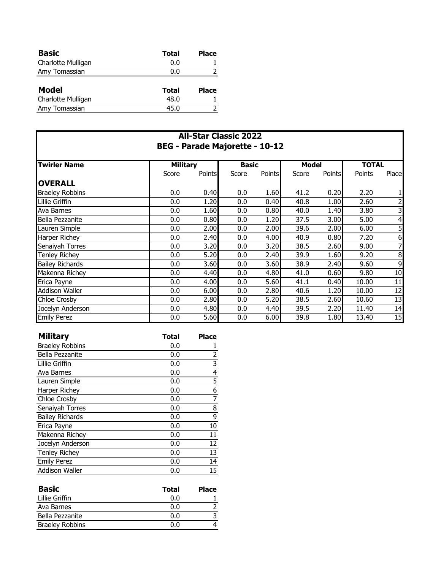| <b>Basic</b>       | Total | Place        |
|--------------------|-------|--------------|
| Charlotte Mulligan | 0.0   |              |
| Amy Tomassian      | 0.0   |              |
|                    |       |              |
| <b>Model</b>       | Total | <b>Place</b> |
| Charlotte Mulligan | 48.0  |              |
| Amy Tomassian      | 45.0  |              |
|                    |       |              |

| <b>All-Star Classic 2022</b>          |                 |               |              |               |       |               |              |                 |
|---------------------------------------|-----------------|---------------|--------------|---------------|-------|---------------|--------------|-----------------|
| <b>BEG - Parade Majorette - 10-12</b> |                 |               |              |               |       |               |              |                 |
| <b>Twirler Name</b>                   | <b>Military</b> |               | <b>Basic</b> |               | Model |               | <b>TOTAL</b> |                 |
|                                       | Score           | <b>Points</b> | Score        | <b>Points</b> | Score | <b>Points</b> | Points       | Place           |
| <b>OVERALL</b>                        |                 |               |              |               |       |               |              |                 |
| <b>Braeley Robbins</b>                | 0.0             | 0.40          | 0.0          | 1.60          | 41.2  | 0.20          | 2.20         |                 |
| Lillie Griffin                        | 0.0             | 1.20          | 0.0          | 0.40          | 40.8  | 1.00          | 2.60         | 2               |
| Ava Barnes                            | 0.0             | 1.60          | 0.0          | 0.80          | 40.0  | 1.40          | 3.80         | 3               |
| Bella Pezzanite                       | 0.0             | 0.80          | 0.0          | 1.20          | 37.5  | 3.00          | 5.00         | 4               |
| Lauren Simple                         | 0.0             | 2.00          | 0.0          | 2.00          | 39.6  | 2.00          | 6.00         | $\overline{5}$  |
| <b>Harper Richey</b>                  | 0.0             | 2.40          | 0.0          | 4.00          | 40.9  | 0.80          | 7.20         | 6               |
| Senaiyah Torres                       | 0.0             | 3.20          | 0.0          | 3.20          | 38.5  | 2.60          | 9.00         | 7               |
| Tenley Richey                         | 0.0             | 5.20          | 0.0          | 2.40          | 39.9  | 1.60          | 9.20         | 8               |
| <b>Bailey Richards</b>                | 0.0             | 3.60          | 0.0          | 3.60          | 38.9  | 2.40          | 9.60         | 9               |
| Makenna Richey                        | 0.0             | 4.40          | 0.0          | 4.80          | 41.0  | 0.60          | 9.80         | 10              |
| Erica Payne                           | 0.0             | 4.00          | 0.0          | 5.60          | 41.1  | 0.40          | 10.00        | 11              |
| <b>Addison Waller</b>                 | 0.0             | 6.00          | 0.0          | 2.80          | 40.6  | 1.20          | 10.00        | 12              |
| Chloe Crosby                          | 0.0             | 2.80          | 0.0          | 5.20          | 38.5  | 2.60          | 10.60        | $\overline{13}$ |
| Jocelyn Anderson                      | 0.0             | 4.80          | 0.0          | 4.40          | 39.5  | 2.20          | 11.40        | 14              |
| <b>Emily Perez</b>                    | 0.0             | 5.60          | 0.0          | 6.00          | 39.8  | 1.80          | 13.40        | 15              |

| <b>Military</b>        | <b>Total</b> | <b>Place</b>   |
|------------------------|--------------|----------------|
| <b>Braeley Robbins</b> | 0.0          | 1              |
| Bella Pezzanite        | 0.0          | $\overline{2}$ |
| Lillie Griffin         | 0.0          | 3              |
| Ava Barnes             | 0.0          | 4              |
| Lauren Simple          | 0.0          | 5              |
| Harper Richey          | 0.0          | 6              |
| Chloe Crosby           | 0.0          | 7              |
| Senaiyah Torres        | 0.0          | 8              |
| <b>Bailey Richards</b> | 0.0          | 9              |
| Erica Payne            | 0.0          | 10             |
| Makenna Richey         | 0.0          | 11             |
| Jocelyn Anderson       | 0.0          | 12             |
| <b>Tenley Richey</b>   | 0.0          | 13             |
| <b>Emily Perez</b>     | 0.0          | 14             |
| Addison Waller         | 0.0          | 15             |

| <b>Basic</b>           | Total | <b>Place</b> |
|------------------------|-------|--------------|
| Lillie Griffin         | 0.0   |              |
| Ava Barnes             | 0.0   |              |
| Bella Pezzanite        | 0.0   |              |
| <b>Braeley Robbins</b> | ስ በ   |              |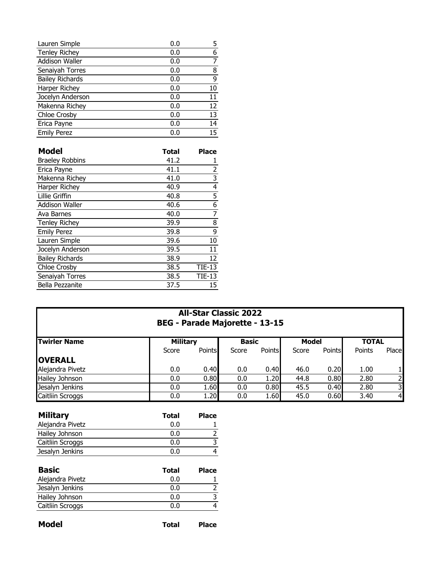| Lauren Simple          | 0.0   | 5                                                                         |
|------------------------|-------|---------------------------------------------------------------------------|
| <b>Tenley Richey</b>   | 0.0   | $\frac{6}{7}$                                                             |
| <b>Addison Waller</b>  | 0.0   |                                                                           |
| Senaiyah Torres        | 0.0   | $\frac{8}{9}$                                                             |
| <b>Bailey Richards</b> | 0.0   |                                                                           |
| Harper Richey          | 0.0   | $\overline{10}$                                                           |
| Jocelyn Anderson       | 0.0   | $\overline{11}$                                                           |
| Makenna Richey         | 0.0   | $\overline{12}$                                                           |
| Chloe Crosby           | 0.0   | $\overline{13}$                                                           |
| Erica Payne            | 0.0   | 14                                                                        |
| <b>Emily Perez</b>     | 0.0   | 15                                                                        |
|                        |       |                                                                           |
| <b>Model</b>           | Total | <b>Place</b>                                                              |
| <b>Braeley Robbins</b> | 41.2  | 1                                                                         |
|                        |       |                                                                           |
| Erica Payne            | 41.1  |                                                                           |
| Makenna Richey         | 41.0  |                                                                           |
| Harper Richey          | 40.9  |                                                                           |
| <b>Lillie Griffin</b>  | 40.8  |                                                                           |
| <b>Addison Waller</b>  | 40.6  |                                                                           |
| Ava Barnes             | 40.0  |                                                                           |
| <b>Tenley Richey</b>   | 39.9  | $\frac{2}{3}$ $\frac{3}{4}$ $\frac{4}{5}$ $\frac{6}{7}$<br>$\overline{8}$ |
| <b>Emily Perez</b>     | 39.8  | 9                                                                         |
| Lauren Simple          | 39.6  | 10                                                                        |
| Jocelyn Anderson       | 39.5  | $\overline{11}$                                                           |
| <b>Bailey Richards</b> | 38.9  | $\overline{12}$                                                           |
| <b>Chloe Crosby</b>    | 38.5  | $TIE-13$                                                                  |
| Senaiyah Torres        | 38.5  | $TIE-13$                                                                  |

|  | <b>All-Star Classic 2022</b>          |  |
|--|---------------------------------------|--|
|  | <b>BEG - Parade Majorette - 13-15</b> |  |

| <b>Twirler Name</b> |       | <b>Military</b> |       | <b>Basic</b>  |       | <b>Model</b>  |        | <b>TOTAL</b>   |  |
|---------------------|-------|-----------------|-------|---------------|-------|---------------|--------|----------------|--|
|                     | Score | <b>Points</b>   | Score | <b>Points</b> | Score | <b>Points</b> | Points | Place          |  |
| <b>OVERALL</b>      |       |                 |       |               |       |               |        |                |  |
| Alejandra Pivetz    | 0.0   | 0.40            | 0.0   | 0.40          | 46.0  | 0.20          | 1.00   |                |  |
| Hailey Johnson      | 0.0   | 0.80            | 0.0   | 1.20          | 44.8  | 0.80          | 2.80   | 21             |  |
| Jesalyn Jenkins     | 0.0   | 1.60            | 0.0   | 0.80          | 45.5  | 0.40          | 2.80   | 31             |  |
| Caitliin Scroggs    | 0.0   | 1.20            | 0.0   | 1.60          | 45.0  | 0.60          | 3.40   | 4 <sub>l</sub> |  |

| <b>Military</b>  | Total | <b>Place</b> |
|------------------|-------|--------------|
| Alejandra Pivetz | 0.0   |              |
| Hailey Johnson   | 0.0   |              |
| Caitliin Scroggs | 0.0   |              |
| Jesalyn Jenkins  | ი ი   |              |

| <b>Basic</b>     | Total | <b>Place</b> |
|------------------|-------|--------------|
| Alejandra Pivetz | 0.0   |              |
| Jesalyn Jenkins  | 0.0   |              |
| Hailey Johnson   | 0.0   |              |
| Caitliin Scroggs | 0.0   |              |
|                  |       |              |

| <b>Model</b> | Total | <b>Place</b> |
|--------------|-------|--------------|
|              |       |              |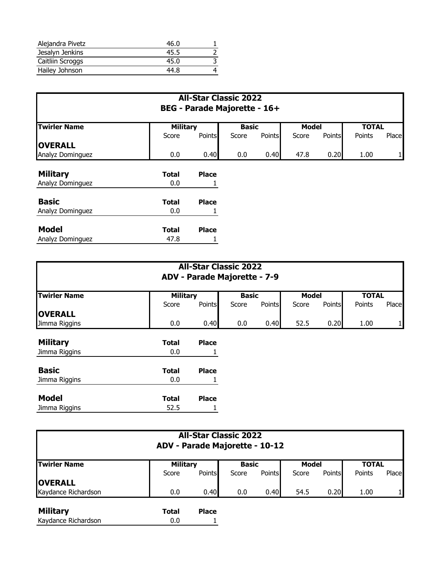| Alejandra Pivetz | 46.0 |  |
|------------------|------|--|
| Jesalyn Jenkins  | 45.5 |  |
| Caitliin Scroggs | 45.0 |  |
| Hailey Johnson   | 44.8 |  |

## **All-Star Classic 2022 BEG - Parade Majorette - 16+**

| <b>Twirler Name</b> | <b>Military</b> |               | <b>Model</b><br><b>Basic</b> |               |       | <b>TOTAL</b> |        |       |
|---------------------|-----------------|---------------|------------------------------|---------------|-------|--------------|--------|-------|
|                     | Score           | <b>Points</b> | Score                        | <b>Points</b> | Score | Points       | Points | Place |
| <b>OVERALL</b>      |                 |               |                              |               |       |              |        |       |
| Analyz Dominguez    | 0.0             | 0.40          | 0.0                          | 0.40          | 47.8  | 0.20         | 1.00   | 1     |
| <b>Military</b>     | <b>Total</b>    | <b>Place</b>  |                              |               |       |              |        |       |
| Analyz Dominguez    | 0.0             |               |                              |               |       |              |        |       |
| <b>Basic</b>        | <b>Total</b>    | <b>Place</b>  |                              |               |       |              |        |       |
| Analyz Dominguez    | 0.0             |               |                              |               |       |              |        |       |
| <b>Model</b>        | <b>Total</b>    | <b>Place</b>  |                              |               |       |              |        |       |
| Analyz Dominguez    | 47.8            | T             |                              |               |       |              |        |       |

| <b>All-Star Classic 2022</b><br>ADV - Parade Majorette - 7-9 |                 |               |              |        |              |               |              |       |
|--------------------------------------------------------------|-----------------|---------------|--------------|--------|--------------|---------------|--------------|-------|
| <b>Twirler Name</b>                                          | <b>Military</b> |               | <b>Basic</b> |        | <b>Model</b> |               | <b>TOTAL</b> |       |
|                                                              | Score           | <b>Points</b> | Score        | Points | Score        | <b>Points</b> | Points       | Place |
| <b>OVERALL</b><br>Jimma Riggins                              | 0.0             | 0.40          | 0.0          | 0.40   | 52.5         | 0.20          | 1.00         | 1     |
| <b>Military</b>                                              | <b>Total</b>    | <b>Place</b>  |              |        |              |               |              |       |
| Jimma Riggins                                                | 0.0             | Ŧ.            |              |        |              |               |              |       |
| <b>Basic</b>                                                 | <b>Total</b>    | <b>Place</b>  |              |        |              |               |              |       |
| Jimma Riggins                                                | 0.0             |               |              |        |              |               |              |       |
| <b>Model</b>                                                 | <b>Total</b>    | <b>Place</b>  |              |        |              |               |              |       |
| Jimma Riggins                                                | 52.5            |               |              |        |              |               |              |       |

| <b>All-Star Classic 2022</b><br>ADV - Parade Majorette - 10-12 |                 |               |              |               |              |        |              |       |
|----------------------------------------------------------------|-----------------|---------------|--------------|---------------|--------------|--------|--------------|-------|
| <b>Twirler Name</b>                                            | <b>Military</b> |               | <b>Basic</b> |               | <b>Model</b> |        | <b>TOTAL</b> |       |
|                                                                | Score           | <b>Points</b> | Score        | <b>Points</b> | Score        | Points | Points       | Place |
| <b>OVERALL</b>                                                 |                 |               |              |               |              |        |              |       |
| Kaydance Richardson                                            | 0.0             | 0.40          | 0.0          | 0.40          | 54.5         | 0.20   | 1.00         |       |

| <b>Military</b>     | Total | <b>Place</b> |
|---------------------|-------|--------------|
| Kaydance Richardson | 0.0   |              |
|                     |       |              |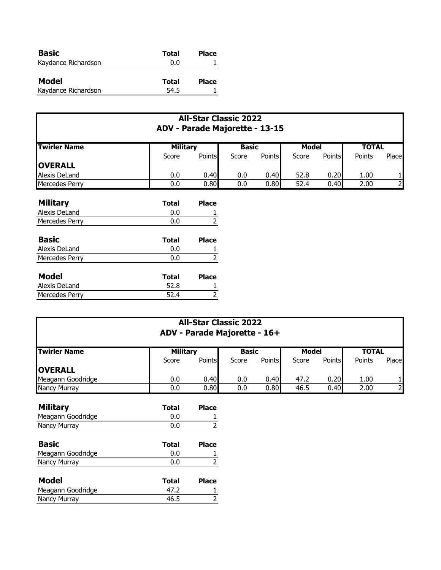| <b>Basic</b>        | Total | <b>Place</b> |
|---------------------|-------|--------------|
| Kaydance Richardson | 0.0   |              |
|                     |       |              |
| Model               | Total | <b>Place</b> |
| Kaydance Richardson | 54.5  |              |

| <b>All-Star Classic 2022</b><br>ADV - Parade Majorette - 13-15 |                 |              |              |               |              |        |              |                |
|----------------------------------------------------------------|-----------------|--------------|--------------|---------------|--------------|--------|--------------|----------------|
| <b>Twirler Name</b>                                            | <b>Military</b> |              | <b>Basic</b> |               | <b>Model</b> |        | <b>TOTAL</b> |                |
|                                                                | Score           | Points       | Score        | <b>Points</b> | Score        | Points | Points       | Place          |
| <b>OVERALL</b>                                                 |                 |              |              |               |              |        |              |                |
| Alexis DeLand                                                  | 0.0             | 0.40         | 0.0          | 0.40          | 52.8         | 0.20   | 1.00         |                |
| Mercedes Perry                                                 | 0.0             | 0.80         | 0.0          | 0.80          | 52.4         | 0.40   | 2.00         | $\overline{2}$ |
| <b>Military</b>                                                | <b>Total</b>    | <b>Place</b> |              |               |              |        |              |                |
| Alexis DeLand                                                  | 0.0             |              |              |               |              |        |              |                |
| Mercedes Perry                                                 | 0.0             |              |              |               |              |        |              |                |

| <b>Basic</b>   | Total | <b>Place</b> |
|----------------|-------|--------------|
| Alexis DeLand  | 0.0   |              |
| Mercedes Perry | 0.0   |              |
|                |       |              |
| <b>Model</b>   | Total | <b>Place</b> |
| Alexis DeLand  | 52.8  |              |
| Mercedes Perry | 52.4  |              |

Meagann Goodridge 47.2 1 Nancy Murray 2008 2012 12:30 AM AM ASS 2012

| <b>All-Star Classic 2022</b><br>ADV - Parade Majorette - 16+ |                 |                |              |               |              |               |              |                |
|--------------------------------------------------------------|-----------------|----------------|--------------|---------------|--------------|---------------|--------------|----------------|
| <b>Twirler Name</b>                                          | <b>Military</b> |                | <b>Basic</b> |               | <b>Model</b> |               | <b>TOTAL</b> |                |
|                                                              | Score           | <b>Points</b>  | Score        | <b>Points</b> | Score        | <b>Points</b> | Points       | Place          |
| <b>OVERALL</b>                                               |                 |                |              |               |              |               |              |                |
| Meagann Goodridge                                            | 0.0             | 0.40           | 0.0          | 0.40          | 47.2         | 0.20          | 1.00         |                |
| Nancy Murray                                                 | 0.0             | 0.80           | 0.0          | 0.80          | 46.5         | 0.40          | 2.00         | $\overline{2}$ |
| <b>Military</b>                                              | <b>Total</b>    | <b>Place</b>   |              |               |              |               |              |                |
| Meagann Goodridge                                            | 0.0             |                |              |               |              |               |              |                |
| Nancy Murray                                                 | 0.0             | 2              |              |               |              |               |              |                |
| <b>Basic</b>                                                 | <b>Total</b>    | <b>Place</b>   |              |               |              |               |              |                |
| Meagann Goodridge                                            | 0.0             |                |              |               |              |               |              |                |
| Nancy Murray                                                 | 0.0             | $\overline{2}$ |              |               |              |               |              |                |
| <b>Model</b>                                                 | <b>Total</b>    | <b>Place</b>   |              |               |              |               |              |                |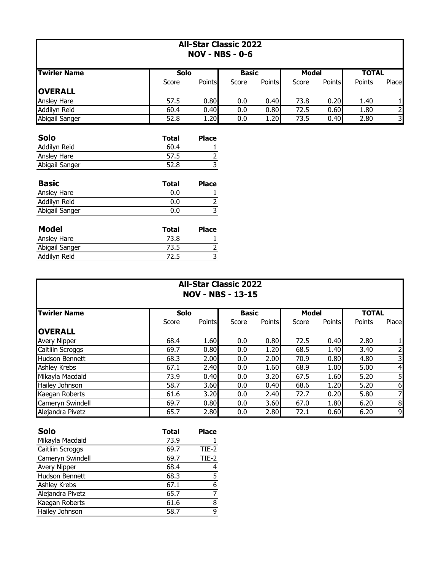| <b>All-Star Classic 2022</b><br><b>NOV - NBS - 0-6</b> |              |                                           |              |               |              |               |              |                |
|--------------------------------------------------------|--------------|-------------------------------------------|--------------|---------------|--------------|---------------|--------------|----------------|
| <b>Twirler Name</b>                                    | Solo         |                                           | <b>Basic</b> |               | <b>Model</b> |               | <b>TOTAL</b> |                |
|                                                        | Score        | Points                                    | Score        | <b>Points</b> | Score        | <b>Points</b> | Points       | Place          |
| <b>OVERALL</b>                                         |              |                                           |              |               |              |               |              |                |
| <b>Ansley Hare</b>                                     | 57.5         | 0.80                                      | 0.0          | 0.40          | 73.8         | 0.20          | 1.40         | 1              |
| Addilyn Reid                                           | 60.4         | 0.40                                      | 0.0          | 0.80          | 72.5         | 0.60          | 1.80         | $\overline{2}$ |
| Abigail Sanger                                         | 52.8         | 1.20                                      | 0.0          | 1.20          | 73.5         | 0.40          | 2.80         | 3              |
| <b>Solo</b>                                            | <b>Total</b> | <b>Place</b>                              |              |               |              |               |              |                |
| Addilyn Reid                                           | 60.4         |                                           |              |               |              |               |              |                |
| Ansley Hare<br>Abigail Sanger                          | 57.5<br>52.8 | $\overline{\mathbf{c}}$<br>$\overline{3}$ |              |               |              |               |              |                |
| <b>Basic</b>                                           | <b>Total</b> | <b>Place</b>                              |              |               |              |               |              |                |
| Ansley Hare                                            | 0.0          |                                           |              |               |              |               |              |                |
| Addilyn Reid                                           | 0.0          | $\frac{2}{3}$                             |              |               |              |               |              |                |
| Abigail Sanger                                         | 0.0          |                                           |              |               |              |               |              |                |
| Modal                                                  | Total        | <b>Diaco</b>                              |              |               |              |               |              |                |

| <b>Model</b>   | Total | <b>Place</b> |
|----------------|-------|--------------|
| Ansley Hare    | 73.8  |              |
| Abigail Sanger | 73.5  |              |
| Addilyn Reid   | 72.5  |              |

| <b>All-Star Classic 2022</b><br><b>NOV - NBS - 13-15</b> |       |        |              |               |              |               |              |       |
|----------------------------------------------------------|-------|--------|--------------|---------------|--------------|---------------|--------------|-------|
| <b>Twirler Name</b>                                      | Solo  |        | <b>Basic</b> |               | <b>Model</b> |               | <b>TOTAL</b> |       |
|                                                          | Score | Points | Score        | <b>Points</b> | Score        | <b>Points</b> | Points       | Place |
| <b>OVERALL</b>                                           |       |        |              |               |              |               |              |       |
| <b>Avery Nipper</b>                                      | 68.4  | 1.60   | 0.0          | 0.80          | 72.5         | 0.40          | 2.80         | 1     |
| Caitliin Scroggs                                         | 69.7  | 0.80   | 0.0          | 1.20          | 68.5         | 1.40          | 3.40         | 2     |
| <b>Hudson Bennett</b>                                    | 68.3  | 2.00   | 0.0          | 2.00          | 70.9         | 0.80          | 4.80         | 3     |
| <b>Ashley Krebs</b>                                      | 67.1  | 2.40   | 0.0          | 1.60          | 68.9         | 1.00          | 5.00         | 4     |
| Mikayla Macdaid                                          | 73.9  | 0.40   | 0.0          | 3.20          | 67.5         | 1.60          | 5.20         | 5     |
| Hailey Johnson                                           | 58.7  | 3.60   | 0.0          | 0.40          | 68.6         | 1.20          | 5.20         | 6     |
| Kaegan Roberts                                           | 61.6  | 3.20   | 0.0          | 2.40          | 72.7         | 0.20          | 5.80         |       |
| Cameryn Swindell                                         | 69.7  | 0.80   | 0.0          | 3.60          | 67.0         | 1.80          | 6.20         | 8     |
| Alejandra Pivetz                                         | 65.7  | 2.80   | 0.0          | 2.80          | 72.1         | 0.60          | 6.20         | 9     |

| <b>Solo</b>         | <b>Total</b> | Place   |
|---------------------|--------------|---------|
| Mikayla Macdaid     | 73.9         |         |
| Caitliin Scroggs    | 69.7         | TIE-2   |
| Cameryn Swindell    | 69.7         | $TIE-2$ |
| <b>Avery Nipper</b> | 68.4         |         |
| Hudson Bennett      | 68.3         | 5       |
| Ashley Krebs        | 67.1         | 6       |
| Alejandra Pivetz    | 65.7         | 7       |
| Kaegan Roberts      | 61.6         | 8       |
| Hailey Johnson      | 58.7         | q       |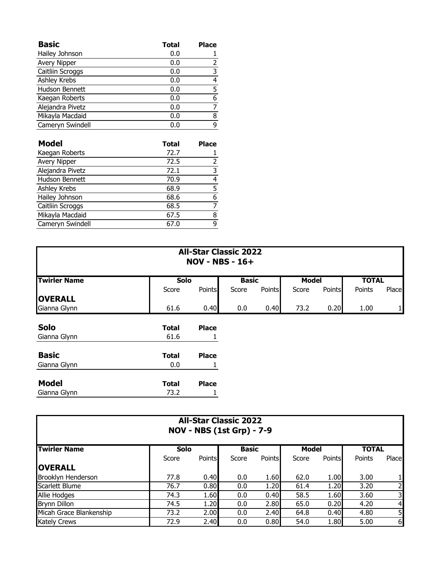| <b>Basic</b>          | <b>Total</b> | <b>Place</b> |
|-----------------------|--------------|--------------|
| Hailey Johnson        | 0.0          |              |
| <b>Avery Nipper</b>   | 0.0          | 2            |
| Caitliin Scroggs      | 0.0          | 3            |
| Ashley Krebs          | 0.0          | 4            |
| <b>Hudson Bennett</b> | 0.0          | 5            |
| Kaegan Roberts        | 0.0          | 6            |
| Alejandra Pivetz      | 0.0          |              |
| Mikayla Macdaid       | 0.0          | 8            |
| Cameryn Swindell      | 0.0          | 9            |

| <b>Model</b>     | <b>Total</b> | <b>Place</b> |
|------------------|--------------|--------------|
| Kaegan Roberts   | 72.7         |              |
| Avery Nipper     | 72.5         | 2            |
| Alejandra Pivetz | 72.1         | 3            |
| Hudson Bennett   | 70.9         | 4            |
| Ashley Krebs     | 68.9         | 5            |
| Hailey Johnson   | 68.6         | 6            |
| Caitliin Scroggs | 68.5         |              |
| Mikayla Macdaid  | 67.5         | 8            |
| Cameryn Swindell | 67.0         | q            |

| <b>All-Star Classic 2022</b><br><b>NOV - NBS - 16+</b> |              |              |              |               |              |               |              |       |  |  |
|--------------------------------------------------------|--------------|--------------|--------------|---------------|--------------|---------------|--------------|-------|--|--|
| <b>Twirler Name</b>                                    | <b>Solo</b>  |              | <b>Basic</b> |               | <b>Model</b> |               | <b>TOTAL</b> |       |  |  |
|                                                        | Score        | Points       | Score        | <b>Points</b> | Score        | <b>Points</b> | Points       | Place |  |  |
| <b>OVERALL</b>                                         |              |              |              |               |              |               |              |       |  |  |
| Gianna Glynn                                           | 61.6         | 0.40         | 0.0          | 0.40          | 73.2         | 0.20          | 1.00         | 1     |  |  |
| Solo                                                   | <b>Total</b> | <b>Place</b> |              |               |              |               |              |       |  |  |
| Gianna Glynn                                           | 61.6         |              |              |               |              |               |              |       |  |  |
| <b>Basic</b>                                           | <b>Total</b> | <b>Place</b> |              |               |              |               |              |       |  |  |
| Gianna Glynn                                           | 0.0          |              |              |               |              |               |              |       |  |  |
| <b>Model</b>                                           | <b>Total</b> | <b>Place</b> |              |               |              |               |              |       |  |  |
| Gianna Glynn                                           | 73.2         | 1            |              |               |              |               |              |       |  |  |

| <b>All-Star Classic 2022</b><br><b>NOV - NBS (1st Grp) - 7-9</b> |             |               |              |               |       |               |              |                |  |  |  |
|------------------------------------------------------------------|-------------|---------------|--------------|---------------|-------|---------------|--------------|----------------|--|--|--|
| <b>Twirler Name</b>                                              | <b>Solo</b> |               | <b>Basic</b> |               | Model |               | <b>TOTAL</b> |                |  |  |  |
|                                                                  | Score       | <b>Points</b> | Score        | <b>Points</b> | Score | <b>Points</b> | Points       | Place          |  |  |  |
| <b>IOVERALL</b>                                                  |             |               |              |               |       |               |              |                |  |  |  |
| Brooklyn Henderson                                               | 77.8        | 0.40          | 0.0          | 1.60          | 62.0  | 1.00          | 3.00         |                |  |  |  |
| Scarlett Blume                                                   | 76.7        | 0.80          | 0.0          | 1.20          | 61.4  | 1.20          | 3.20         |                |  |  |  |
| Allie Hodges                                                     | 74.3        | 1.60          | 0.0          | 0.40          | 58.5  | 1.60          | 3.60         | 3              |  |  |  |
| <b>Brynn Dillon</b>                                              | 74.5        | 1.20          | 0.0          | 2.80          | 65.0  | 0.20          | 4.20         | $\overline{4}$ |  |  |  |
| Micah Grace Blankenship                                          | 73.2        | 2.00          | 0.0          | 2.40          | 64.8  | 0.40          | 4.80         | 51             |  |  |  |
| <b>Kately Crews</b>                                              | 72.9        | 2.40          | 0.0          | 0.80          | 54.0  | 1.80          | 5.00         | 6              |  |  |  |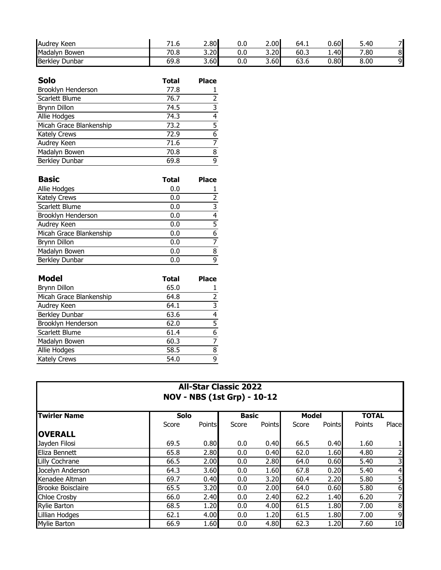| <b>Audrey Keen</b>    | . -<br>T.O | 2.80 | v.u | 2.00 | 64.1 | 0.60 | .40<br>J. |   |
|-----------------------|------------|------|-----|------|------|------|-----------|---|
| Madalyn Bowen         | 70.8       | 3.20 | v.u | 3.20 | 60.3 | 1.40 | 7.80      | ັ |
| <b>Berkley Dunbar</b> | 69.8       | 3.60 | v.u | 3.60 | 63.6 | 0.80 | 8.00      | ⌒ |

| <b>Solo</b>             | <b>Total</b> | <b>Place</b> |
|-------------------------|--------------|--------------|
| Brooklyn Henderson      | 77.8         |              |
| Scarlett Blume          | 76.7         | 2            |
| <b>Brynn Dillon</b>     | 74.5         | 3            |
| Allie Hodges            | 74.3         | 4            |
| Micah Grace Blankenship | 73.2         | 5            |
| <b>Kately Crews</b>     | 72.9         | 6            |
| Audrey Keen             | 71.6         |              |
| Madalyn Bowen           | 70.8         | 8            |
| Berkley Dunbar          | 69.8         | q            |

| <b>Basic</b>            | <b>Total</b> | <b>Place</b>  |
|-------------------------|--------------|---------------|
| Allie Hodges            | 0.0          |               |
| <b>Kately Crews</b>     | 0.0          | $\mathcal{P}$ |
| Scarlett Blume          | 0.0          | 3             |
| Brooklyn Henderson      | 0.0          | 4             |
| Audrey Keen             | 0.0          | 5             |
| Micah Grace Blankenship | 0.0          | 6             |
| <b>Brynn Dillon</b>     | 0.0          |               |
| Madalyn Bowen           | 0.0          | 8             |
| Berkley Dunbar          | 0.0          | q             |

| <b>Model</b>            | <b>Total</b> | <b>Place</b> |
|-------------------------|--------------|--------------|
| <b>Brynn Dillon</b>     | 65.0         |              |
| Micah Grace Blankenship | 64.8         | 2            |
| Audrey Keen             | 64.1         | 3            |
| Berkley Dunbar          | 63.6         |              |
| Brooklyn Henderson      | 62.0         | 5            |
| Scarlett Blume          | 61.4         | 6            |
| Madalyn Bowen           | 60.3         |              |
| Allie Hodges            | 58.5         | 8            |
| <b>Kately Crews</b>     | 54.0         | q            |

| <b>All-Star Classic 2022</b><br><b>NOV - NBS (1st Grp) - 10-12</b> |       |        |              |               |              |               |              |                |  |  |  |
|--------------------------------------------------------------------|-------|--------|--------------|---------------|--------------|---------------|--------------|----------------|--|--|--|
| <b>Twirler Name</b>                                                | Solo  |        | <b>Basic</b> |               | <b>Model</b> |               | <b>TOTAL</b> |                |  |  |  |
|                                                                    | Score | Points | Score        | <b>Points</b> | Score        | <b>Points</b> | Points       | Place          |  |  |  |
| <b>OVERALL</b>                                                     |       |        |              |               |              |               |              |                |  |  |  |
| Jayden Filosi                                                      | 69.5  | 0.80   | 0.0          | 0.40          | 66.5         | 0.40          | 1.60         | 1              |  |  |  |
| Eliza Bennett                                                      | 65.8  | 2.80   | 0.0          | 0.40          | 62.0         | 1.60          | 4.80         | 2              |  |  |  |
| Lilly Cochrane                                                     | 66.5  | 2.00   | 0.0          | 2.80          | 64.0         | 0.60          | 5.40         | 3              |  |  |  |
| Jocelyn Anderson                                                   | 64.3  | 3.60   | 0.0          | 1.60          | 67.8         | 0.20          | 5.40         | $\overline{4}$ |  |  |  |
| Kenadee Altman                                                     | 69.7  | 0.40   | 0.0          | 3.20          | 60.4         | 2.20          | 5.80         | 5              |  |  |  |
| <b>Brooke Boisclaire</b>                                           | 65.5  | 3.20   | 0.0          | 2.00          | 64.0         | 0.60          | 5.80         | 6              |  |  |  |
| <b>Chloe Crosby</b>                                                | 66.0  | 2.40   | 0.0          | 2.40          | 62.2         | 1.40          | 6.20         | 7              |  |  |  |
| Rylie Barton                                                       | 68.5  | 1.20   | 0.0          | 4.00          | 61.5         | 1.80          | 7.00         | 8              |  |  |  |
| Lillian Hodges                                                     | 62.1  | 4.00   | 0.0          | 1.20          | 61.5         | 1.80          | 7.00         | 9              |  |  |  |
| <b>Mylie Barton</b>                                                | 66.9  | 1.60   | 0.0          | 4.80          | 62.3         | 1.20          | 7.60         | 10             |  |  |  |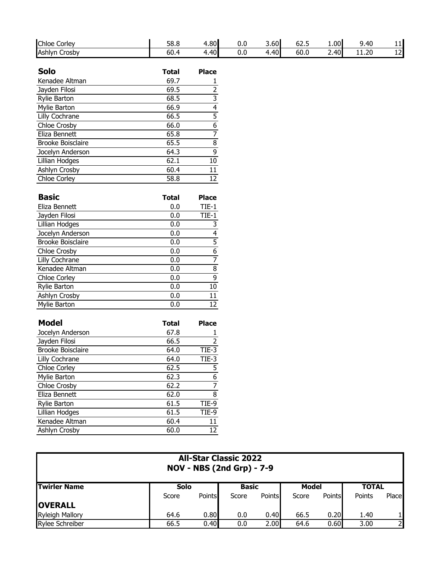| <b>Chloe</b><br>-<br>_corlev_ | 58.8 | <b>1.80</b> | v.u | 3.60  | --<br>-<br>62.5 | 1.00      | 9.40  | . .          |
|-------------------------------|------|-------------|-----|-------|-----------------|-----------|-------|--------------|
| Ashlyn<br>∽<br>. Crosbv       | 60.4 | 40          | v.u | 4.401 | 60.0            | .40'<br>- | 11.20 | $\sim$<br>ᅩᄼ |

| <b>Solo</b>              | <b>Total</b> | <b>Place</b> |
|--------------------------|--------------|--------------|
| Kenadee Altman           | 69.7         |              |
| Jayden Filosi            | 69.5         | 2            |
| <b>Rylie Barton</b>      | 68.5         | 3            |
| Mylie Barton             | 66.9         | 4            |
| Lilly Cochrane           | 66.5         | 5            |
| Chloe Crosby             | 66.0         | 6            |
| Eliza Bennett            | 65.8         | 7            |
| <b>Brooke Boisclaire</b> | 65.5         | 8            |
| Jocelyn Anderson         | 64.3         | 9            |
| Lillian Hodges           | 62.1         | 10           |
| Ashlyn Crosby            | 60.4         | 11           |
| <b>Chloe Corley</b>      | 58.8         | 12           |

| <b>Basic</b>             | <b>Total</b> | <b>Place</b> |
|--------------------------|--------------|--------------|
| Eliza Bennett            | 0.0          | TIE-1        |
| Jayden Filosi            | 0.0          | $TIE-1$      |
| Lillian Hodges           | 0.0          | 3            |
| Jocelyn Anderson         | 0.0          | 4            |
| <b>Brooke Boisclaire</b> | 0.0          | 5            |
| Chloe Crosby             | 0.0          | 6            |
| Lilly Cochrane           | 0.0          | 7            |
| Kenadee Altman           | 0.0          | 8            |
| Chloe Corley             | 0.0          | 9            |
| <b>Rylie Barton</b>      | 0.0          | 10           |
| Ashlyn Crosby            | 0.0          | 11           |
| Mylie Barton             | 0.0          | 12           |

| <b>Model</b>             | <b>Total</b> | <b>Place</b> |
|--------------------------|--------------|--------------|
| Jocelyn Anderson         | 67.8         |              |
| Jayden Filosi            | 66.5         | 2            |
| <b>Brooke Boisclaire</b> | 64.0         | TIE-3        |
| Lilly Cochrane           | 64.0         | TIE-3        |
| <b>Chloe Corley</b>      | 62.5         | 5            |
| Mylie Barton             | 62.3         | 6            |
| Chloe Crosby             | 62.2         | 7            |
| Eliza Bennett            | 62.0         | 8            |
| <b>Rylie Barton</b>      | 61.5         | TIE-9        |
| Lillian Hodges           | 61.5         | TIE-9        |
| Kenadee Altman           | 60.4         | 11           |
| Ashlyn Crosby            | 60.0         | 12           |

| <b>All-Star Classic 2022</b><br><b>NOV - NBS (2nd Grp) - 7-9</b> |       |        |              |               |              |               |              |       |  |  |
|------------------------------------------------------------------|-------|--------|--------------|---------------|--------------|---------------|--------------|-------|--|--|
| <b>ITwirler Name</b>                                             | Solo  |        | <b>Basic</b> |               | <b>Model</b> |               | <b>TOTAL</b> |       |  |  |
|                                                                  | Score | Points | Score        | <b>Points</b> | Score        | <b>Points</b> | Points       | Place |  |  |
| <b>OVERALL</b>                                                   |       |        |              |               |              |               |              |       |  |  |
| <b>Ryleigh Mallory</b>                                           | 64.6  | 0.80   | 0.0          | 0.40          | 66.5         | 0.20          | 1.40         |       |  |  |
| <b>Rylee Schreiber</b>                                           | 66.5  | 0.40   | 0.0          | 2.00          | 64.6         | 0.60          | 3.00         |       |  |  |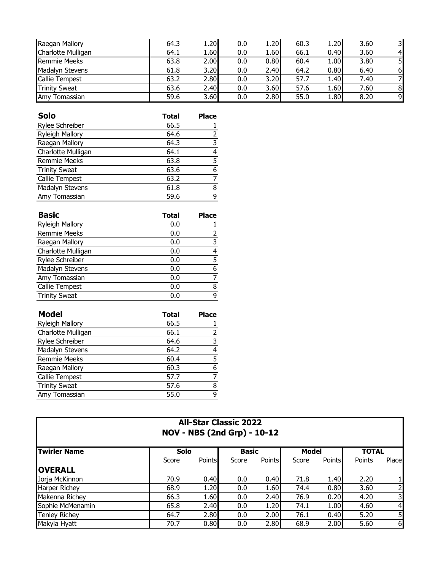| Raegan Mallory         | 64.3 | 1.20I | 0.0 | 1.20 | 60.3 | 1.20l | 3.60 |                        |
|------------------------|------|-------|-----|------|------|-------|------|------------------------|
| Charlotte Mulligan     | 64.1 | 1.60  | 0.0 | 1.60 | 66.1 | 0.40  | 3.60 | $\boldsymbol{\Lambda}$ |
| <b>Remmie Meeks</b>    | 63.8 | 2.00  | 0.0 | 0.80 | 60.4 | 1.00  | 3.80 |                        |
| <b>Madalyn Stevens</b> | 61.8 | 3.20  | 0.0 | 2.40 | 64.2 | 0.80  | 6.40 | 6                      |
| <b>Callie Tempest</b>  | 63.2 | 2.80  | 0.0 | 3.20 | 57.7 | 1.40  | 7.40 |                        |
| <b>Trinity Sweat</b>   | 63.6 | 2.40  | 0.0 | 3.60 | 57.6 | 1.60  | 7.60 | 8                      |
| Amy Tomassian          | 59.6 | 3.60  | 0.0 | 2.80 | 55.0 | 1.80  | 8.20 | 9                      |

| Solo                   | <b>Total</b> | <b>Place</b> |
|------------------------|--------------|--------------|
| Rylee Schreiber        | 66.5         |              |
| <b>Ryleigh Mallory</b> | 64.6         |              |
| Raegan Mallory         | 64.3         | 3            |
| Charlotte Mulligan     | 64.1         | 4            |
| <b>Remmie Meeks</b>    | 63.8         | 5            |
| <b>Trinity Sweat</b>   | 63.6         | 6            |
| Callie Tempest         | 63.2         |              |
| Madalyn Stevens        | 61.8         | 8            |
| Amy Tomassian          | 59.6         | q            |

| <b>Basic</b>           | <b>Total</b> | <b>Place</b> |
|------------------------|--------------|--------------|
| <b>Ryleigh Mallory</b> | 0.0          |              |
| <b>Remmie Meeks</b>    | 0.0          | 2            |
| Raegan Mallory         | 0.0          | 3            |
| Charlotte Mulligan     | 0.0          | 4            |
| Rylee Schreiber        | 0.0          | 5            |
| Madalyn Stevens        | 0.0          | 6            |
| Amy Tomassian          | 0.0          |              |
| Callie Tempest         | 0.0          | 8            |
| <b>Trinity Sweat</b>   | 0.0          | q            |

| <b>Model</b>           | Total | <b>Place</b> |
|------------------------|-------|--------------|
| <b>Ryleigh Mallory</b> | 66.5  |              |
| Charlotte Mulligan     | 66.1  | 2            |
| Rylee Schreiber        | 64.6  | 3            |
| Madalyn Stevens        | 64.2  | 4            |
| <b>Remmie Meeks</b>    | 60.4  | 5            |
| Raegan Mallory         | 60.3  | 6            |
| Callie Tempest         | 57.7  |              |
| <b>Trinity Sweat</b>   | 57.6  | 8            |
| Amy Tomassian          | 55.0  | ٩            |
|                        |       |              |

| <b>All-Star Classic 2022</b><br><b>NOV - NBS (2nd Grp) - 10-12</b> |       |        |       |               |       |              |        |                         |  |
|--------------------------------------------------------------------|-------|--------|-------|---------------|-------|--------------|--------|-------------------------|--|
| <b>Twirler Name</b>                                                |       | Solo   |       | <b>Basic</b>  |       | <b>Model</b> |        | <b>TOTAL</b>            |  |
|                                                                    | Score | Points | Score | <b>Points</b> | Score | Points       | Points | Place                   |  |
| <b>OVERALL</b>                                                     |       |        |       |               |       |              |        |                         |  |
| Jorja McKinnon                                                     | 70.9  | 0.40   | 0.0   | 0.40          | 71.8  | 1.40         | 2.20   |                         |  |
| <b>Harper Richey</b>                                               | 68.9  | 1.20   | 0.0   | 1.60          | 74.4  | 0.80         | 3.60   | $\overline{2}$          |  |
| Makenna Richey                                                     | 66.3  | 1.60   | 0.0   | 2.40          | 76.9  | 0.20         | 4.20   | $\overline{\mathbf{3}}$ |  |
| Sophie McMenamin                                                   | 65.8  | 2.40   | 0.0   | 1.20          | 74.1  | 1.00         | 4.60   | $\overline{4}$          |  |
| <b>Tenley Richey</b>                                               | 64.7  | 2.80   | 0.0   | 2.00          | 76.1  | 0.40         | 5.20   | 5 <sub>l</sub>          |  |
| Makyla Hyatt                                                       | 70.7  | 0.80   | 0.0   | 2.80          | 68.9  | 2.00         | 5.60   | 6                       |  |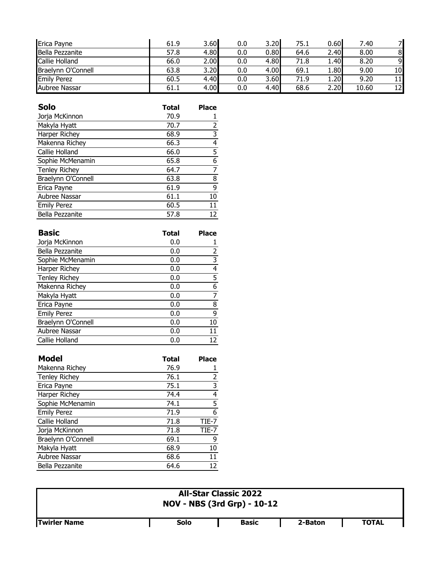| Erica Payne        | 61.9 | 3.60 | 0.0 | 3.20 | 75.1 | 0.60 | 7.40  |    |
|--------------------|------|------|-----|------|------|------|-------|----|
| Bella Pezzanite    | 57.8 | 4.80 | 0.0 | 0.80 | 64.6 | 2.40 | 8.00  | 8  |
| Callie Holland     | 66.0 | 2.00 | 0.0 | 4.80 | 71.8 | 1.40 | 8.20  | 9  |
| Braelynn O'Connell | 63.8 | 3.20 | 0.0 | 4.00 | 69.1 | 1.80 | 9.00  | 10 |
| <b>Emily Perez</b> | 60.5 | 4.40 | 0.0 | 3.60 | 71.9 | 1.20 | 9.20  | 11 |
| Aubree Nassar      | 61.1 | 4.00 | 0.0 | 4.40 | 68.6 | 2.20 | 10.60 | 12 |

| Solo                   | <b>Total</b> | <b>Place</b> |
|------------------------|--------------|--------------|
| Jorja McKinnon         | 70.9         |              |
| Makyla Hyatt           | 70.7         | 2            |
| Harper Richey          | 68.9         | 3            |
| Makenna Richey         | 66.3         | 4            |
| Callie Holland         | 66.0         | 5            |
| Sophie McMenamin       | 65.8         | 6            |
| <b>Tenley Richey</b>   | 64.7         | 7            |
| Braelynn O'Connell     | 63.8         | 8            |
| Erica Payne            | 61.9         | 9            |
| Aubree Nassar          | 61.1         | 10           |
| <b>Emily Perez</b>     | 60.5         | 11           |
| <b>Bella Pezzanite</b> | 57.8         | 12           |

| Basic                | <b>Total</b> | <b>Place</b> |
|----------------------|--------------|--------------|
| Jorja McKinnon       | 0.0          |              |
| Bella Pezzanite      | 0.0          | 2            |
| Sophie McMenamin     | 0.0          | 3            |
| Harper Richey        | 0.0          | 4            |
| <b>Tenley Richey</b> | 0.0          | 5            |
| Makenna Richey       | 0.0          | 6            |
| Makyla Hyatt         | 0.0          |              |
| Erica Payne          | 0.0          | 8            |
| <b>Emily Perez</b>   | 0.0          | 9            |
| Braelynn O'Connell   | 0.0          | 10           |
| Aubree Nassar        | 0.0          | 11           |
| Callie Holland       | 0.0          | 12           |

| <b>Model</b>         | <b>Total</b> | <b>Place</b>   |
|----------------------|--------------|----------------|
| Makenna Richey       | 76.9         |                |
| <b>Tenley Richey</b> | 76.1         | 2              |
| Erica Payne          | 75.1         | $\overline{3}$ |
| Harper Richey        | 74.4         | $\overline{4}$ |
| Sophie McMenamin     | 74.1         | 5              |
| <b>Emily Perez</b>   | 71.9         | 6              |
| Callie Holland       | 71.8         | TIE-7          |
| Jorja McKinnon       | 71.8         | TIE-7          |
| Braelynn O'Connell   | 69.1         | 9              |
| Makyla Hyatt         | 68.9         | 10             |
| Aubree Nassar        | 68.6         | 11             |
| Bella Pezzanite      | 64.6         | 12             |

| <b>All-Star Classic 2022</b><br><b>NOV - NBS (3rd Grp) - 10-12</b> |      |              |         |              |  |  |
|--------------------------------------------------------------------|------|--------------|---------|--------------|--|--|
| <b>ITwirler Name</b>                                               | Solo | <b>Basic</b> | 2-Baton | <b>TOTAL</b> |  |  |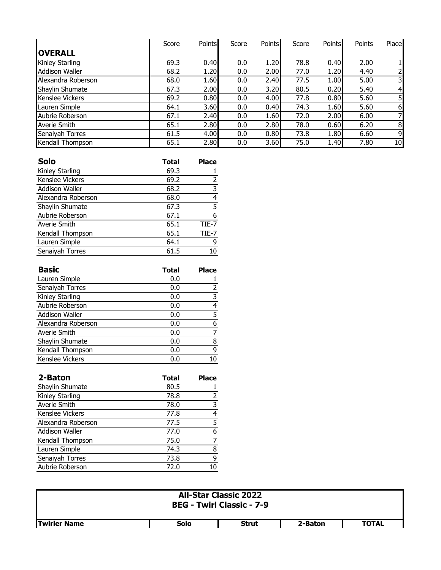|                       | Score | <b>Points</b> | Score | <b>Points</b> | Score | <b>Points</b> | Points | Place          |
|-----------------------|-------|---------------|-------|---------------|-------|---------------|--------|----------------|
| <b>OVERALL</b>        |       |               |       |               |       |               |        |                |
| Kinley Starling       | 69.3  | 0.40          | 0.0   | 1.20          | 78.8  | 0.40          | 2.00   |                |
| <b>Addison Waller</b> | 68.2  | 1.20          | 0.0   | 2.00          | 77.0  | 1.20          | 4.40   | $\overline{2}$ |
| Alexandra Roberson    | 68.0  | 1.60          | 0.0   | 2.40          | 77.5  | 1.00          | 5.00   | 3              |
| Shaylin Shumate       | 67.3  | 2.00          | 0.0   | 3.20          | 80.5  | 0.20          | 5.40   | $\overline{4}$ |
| Kenslee Vickers       | 69.2  | 0.80          | 0.0   | 4.00          | 77.8  | 0.80          | 5.60   | 5              |
| Lauren Simple         | 64.1  | 3.60          | 0.0   | 0.40          | 74.3  | 1.60          | 5.60   | 6              |
| Aubrie Roberson       | 67.1  | 2.40          | 0.0   | 1.60          | 72.0  | 2.00          | 6.00   | 7              |
| <b>Averie Smith</b>   | 65.1  | 2.80          | 0.0   | 2.80          | 78.0  | 0.60          | 6.20   | 8              |
| Senaiyah Torres       | 61.5  | 4.00          | 0.0   | 0.80          | 73.8  | 1.80          | 6.60   | 9              |
| Kendall Thompson      | 65.1  | 2.80          | 0.0   | 3.60          | 75.0  | 1.40          | 7.80   | 10             |

| <b>Solo</b>        | <b>Total</b> | <b>Place</b> |
|--------------------|--------------|--------------|
| Kinley Starling    | 69.3         |              |
| Kenslee Vickers    | 69.2         | 2            |
| Addison Waller     | 68.2         | 3            |
| Alexandra Roberson | 68.0         | 4            |
| Shaylin Shumate    | 67.3         | 5            |
| Aubrie Roberson    | 67.1         | 6            |
| Averie Smith       | 65.1         | TIE-7        |
| Kendall Thompson   | 65.1         | TIE-7        |
| Lauren Simple      | 64.1         | q            |
| Senaiyah Torres    | 61.5         | 10           |

| <b>Basic</b>       | <b>Total</b> | <b>Place</b> |
|--------------------|--------------|--------------|
| Lauren Simple      | 0.0          |              |
| Senaiyah Torres    | 0.0          | 2            |
| Kinley Starling    | 0.0          | 3            |
| Aubrie Roberson    | 0.0          | 4            |
| Addison Waller     | 0.0          | 5            |
| Alexandra Roberson | 0.0          | 6            |
| Averie Smith       | 0.0          |              |
| Shaylin Shumate    | 0.0          | 8            |
| Kendall Thompson   | 0.0          | 9            |
| Kenslee Vickers    | 0.0          | 10           |

| 2-Baton               | <b>Total</b> | <b>Place</b> |
|-----------------------|--------------|--------------|
| Shaylin Shumate       | 80.5         |              |
| Kinley Starling       | 78.8         | 2            |
| Averie Smith          | 78.0         | 3            |
| Kenslee Vickers       | 77.8         | 4            |
| Alexandra Roberson    | 77.5         | 5            |
| <b>Addison Waller</b> | 77.0         | 6            |
| Kendall Thompson      | 75.0         | 7            |
| Lauren Simple         | 74.3         | 8            |
| Senaiyah Torres       | 73.8         | 9            |
| Aubrie Roberson       | 72.0         | 10           |

| <b>All-Star Classic 2022</b><br><b>BEG - Twirl Classic - 7-9</b> |             |              |         |              |  |  |  |  |
|------------------------------------------------------------------|-------------|--------------|---------|--------------|--|--|--|--|
| <b>Twirler Name</b>                                              | <b>Solo</b> | <b>Strut</b> | 2-Baton | <b>TOTAL</b> |  |  |  |  |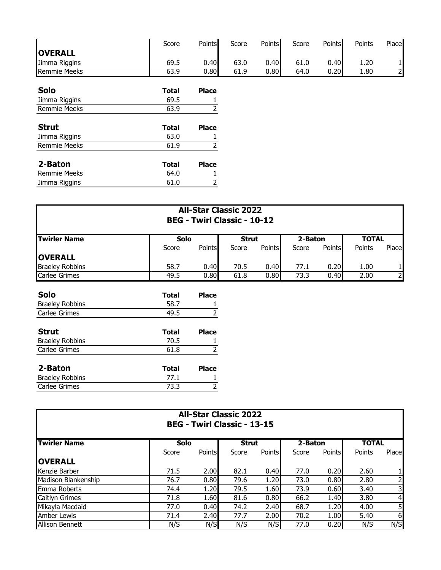|                     | Score        | Points                  | Score | Points | Score | Points | Points | Place          |
|---------------------|--------------|-------------------------|-------|--------|-------|--------|--------|----------------|
| <b>OVERALL</b>      |              |                         |       |        |       |        |        |                |
| Jimma Riggins       | 69.5         | 0.40                    | 63.0  | 0.40   | 61.0  | 0.40   | 1.20   |                |
| <b>Remmie Meeks</b> | 63.9         | 0.80                    | 61.9  | 0.80   | 64.0  | 0.20   | 1.80   | $\overline{2}$ |
| <b>Solo</b>         | <b>Total</b> | <b>Place</b>            |       |        |       |        |        |                |
| Jimma Riggins       | 69.5         |                         |       |        |       |        |        |                |
| <b>Remmie Meeks</b> | 63.9         | $\overline{\mathbf{c}}$ |       |        |       |        |        |                |
| <b>Strut</b>        | <b>Total</b> | <b>Place</b>            |       |        |       |        |        |                |
| Jimma Riggins       | 63.0         |                         |       |        |       |        |        |                |
| <b>Remmie Meeks</b> | 61.9         |                         |       |        |       |        |        |                |
| 2-Baton             | <b>Total</b> | <b>Place</b>            |       |        |       |        |        |                |
| <b>Remmie Meeks</b> | 64.0         |                         |       |        |       |        |        |                |
| Jimma Riggins       | 61.0         | 2                       |       |        |       |        |        |                |

| <b>All-Star Classic 2022</b><br><b>BEG - Twirl Classic - 10-12</b> |              |                |              |               |         |        |              |          |
|--------------------------------------------------------------------|--------------|----------------|--------------|---------------|---------|--------|--------------|----------|
| <b>Twirler Name</b>                                                | Solo         |                | <b>Strut</b> |               | 2-Baton |        | <b>TOTAL</b> |          |
|                                                                    | Score        | <b>Points</b>  | Score        | <b>Points</b> | Score   | Points | Points       | Place    |
| <b>OVERALL</b>                                                     |              |                |              |               |         |        |              |          |
| <b>Braeley Robbins</b>                                             | 58.7         | 0.40           | 70.5         | 0.40          | 77.1    | 0.20   | 1.00         |          |
| <b>Carlee Grimes</b>                                               | 49.5         | 0.80           | 61.8         | 0.80          | 73.3    | 0.40   | 2.00         | $2 \mid$ |
| <b>Solo</b>                                                        | <b>Total</b> | <b>Place</b>   |              |               |         |        |              |          |
| <b>Braeley Robbins</b>                                             | 58.7         |                |              |               |         |        |              |          |
| Carlee Grimes                                                      | 49.5         | $\overline{2}$ |              |               |         |        |              |          |
| <b>Strut</b>                                                       | <b>Total</b> | <b>Place</b>   |              |               |         |        |              |          |
| <b>Braeley Robbins</b>                                             | 70.5         |                |              |               |         |        |              |          |
| Carlee Grimes                                                      | 61.8         |                |              |               |         |        |              |          |

| 2-Baton                | Total | <b>Place</b> |
|------------------------|-------|--------------|
| <b>Braeley Robbins</b> | 77.1  |              |
| Carlee Grimes          | 73.3  |              |
|                        |       |              |

| <b>All-Star Classic 2022</b><br><b>BEG - Twirl Classic - 13-15</b> |             |        |              |               |         |               |              |                         |
|--------------------------------------------------------------------|-------------|--------|--------------|---------------|---------|---------------|--------------|-------------------------|
| <b>Twirler Name</b>                                                | <b>Solo</b> |        | <b>Strut</b> |               | 2-Baton |               | <b>TOTAL</b> |                         |
|                                                                    | Score       | Points | Score        | <b>Points</b> | Score   | <b>Points</b> | Points       | Place                   |
| <b>OVERALL</b>                                                     |             |        |              |               |         |               |              |                         |
| Kenzie Barber                                                      | 71.5        | 2.00   | 82.1         | 0.40          | 77.0    | 0.20          | 2.60         |                         |
| Madison Blankenship                                                | 76.7        | 0.80   | 79.6         | 1.20          | 73.0    | 0.80          | 2.80         | $\overline{2}$          |
| <b>Emma Roberts</b>                                                | 74.4        | 1.20   | 79.5         | 1.60          | 73.9    | 0.60          | 3.40         | $\overline{\mathsf{3}}$ |
| <b>Caitlyn Grimes</b>                                              | 71.8        | 1.60   | 81.6         | 0.80          | 66.2    | 1.40          | 3.80         | $\overline{4}$          |
| Mikayla Macdaid                                                    | 77.0        | 0.40   | 74.2         | 2.40          | 68.7    | 1.20          | 4.00         | 5                       |
| <b>Amber Lewis</b>                                                 | 71.4        | 2.40   | 77.7         | 2.00          | 70.2    | 1.00          | 5.40         | 6                       |
| <b>Allison Bennett</b>                                             | N/S         | N/S    | N/S          | N/S           | 77.0    | 0.20          | N/S          | N/S                     |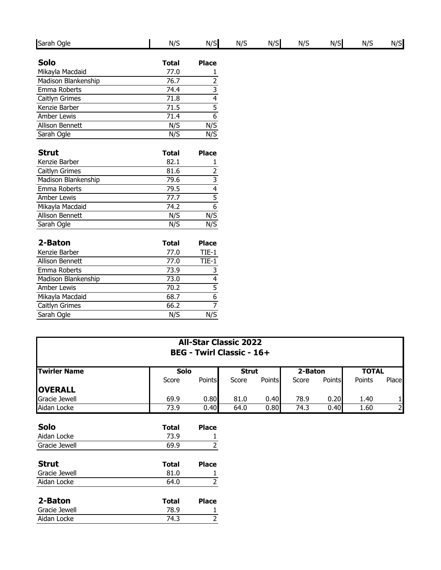| Sarah Ogle             | N/S          | N/S                                       | N/S | N/S | N/S | N/S | N/S | N/S |
|------------------------|--------------|-------------------------------------------|-----|-----|-----|-----|-----|-----|
| <b>Solo</b>            | <b>Total</b> | <b>Place</b>                              |     |     |     |     |     |     |
| Mikayla Macdaid        | 77.0         |                                           |     |     |     |     |     |     |
| Madison Blankenship    | 76.7         | $\frac{1}{2}$                             |     |     |     |     |     |     |
| Emma Roberts           | 74.4         |                                           |     |     |     |     |     |     |
| Caitlyn Grimes         | 71.8         | $\frac{3}{4}$ $\frac{4}{5}$ $\frac{5}{6}$ |     |     |     |     |     |     |
| Kenzie Barber          | 71.5         |                                           |     |     |     |     |     |     |
| <b>Amber Lewis</b>     | 71.4         |                                           |     |     |     |     |     |     |
| <b>Allison Bennett</b> | N/S          | N/S                                       |     |     |     |     |     |     |
| Sarah Ogle             | N/S          | N/S                                       |     |     |     |     |     |     |
| <b>Strut</b>           | <b>Total</b> | <b>Place</b>                              |     |     |     |     |     |     |
| Kenzie Barber          | 82.1         | 1                                         |     |     |     |     |     |     |
| Caitlyn Grimes         | 81.6         |                                           |     |     |     |     |     |     |
| Madison Blankenship    | 79.6         | $\frac{2}{3}$ $\frac{4}{5}$ $\frac{5}{6}$ |     |     |     |     |     |     |
| Emma Roberts           | 79.5         |                                           |     |     |     |     |     |     |
| <b>Amber Lewis</b>     | 77.7         |                                           |     |     |     |     |     |     |
| Mikayla Macdaid        | 74.2         |                                           |     |     |     |     |     |     |
| <b>Allison Bennett</b> | N/S          | N/S                                       |     |     |     |     |     |     |
| Sarah Ogle             | N/S          | N/S                                       |     |     |     |     |     |     |
| 2-Baton                | <b>Total</b> | <b>Place</b>                              |     |     |     |     |     |     |
| Kenzie Barber          | 77.0         | $TIE-1$                                   |     |     |     |     |     |     |
| Allison Bennett        | 77.0         | $TIE-1$                                   |     |     |     |     |     |     |
| Emma Roberts           | 73.9         | 3                                         |     |     |     |     |     |     |
| Madison Blankenship    | 73.0         |                                           |     |     |     |     |     |     |
| <b>Amber Lewis</b>     | 70.2         |                                           |     |     |     |     |     |     |
| Mikayla Macdaid        | 68.7         | $\frac{4}{5}$ $\frac{5}{6}$ $\frac{6}{7}$ |     |     |     |     |     |     |
| Caitlyn Grimes         | 66.2         |                                           |     |     |     |     |     |     |
| Sarah Ogle             | N/S          | N/S                                       |     |     |     |     |     |     |

| <b>All-Star Classic 2022</b><br><b>BEG - Twirl Classic - 16+</b> |              |              |              |        |         |               |              |                |
|------------------------------------------------------------------|--------------|--------------|--------------|--------|---------|---------------|--------------|----------------|
| <b>Twirler Name</b>                                              | Solo         |              | <b>Strut</b> |        | 2-Baton |               | <b>TOTAL</b> |                |
|                                                                  | Score        | Points       | Score        | Points | Score   | <b>Points</b> | Points       | Place          |
| <b>OVERALL</b>                                                   |              |              |              |        |         |               |              |                |
| Gracie Jewell                                                    | 69.9         | 0.80         | 81.0         | 0.40   | 78.9    | 0.20          | 1.40         | 1              |
| Aidan Locke                                                      | 73.9         | 0.40         | 64.0         | 0.80   | 74.3    | 0.40          | 1.60         | $\overline{2}$ |
| <b>Solo</b>                                                      | <b>Total</b> | <b>Place</b> |              |        |         |               |              |                |
| Aidan Locke                                                      | 73.9         |              |              |        |         |               |              |                |
| Gracie Jewell                                                    | 69.9         | 2            |              |        |         |               |              |                |
| <b>Strut</b>                                                     | Total        | <b>Place</b> |              |        |         |               |              |                |
| Gracie Jewell                                                    | 81.0         |              |              |        |         |               |              |                |
| Aidan Locke                                                      | 64.0         | 2            |              |        |         |               |              |                |
| 2-Baton                                                          | <b>Total</b> | <b>Place</b> |              |        |         |               |              |                |
| Gracie Jewell                                                    | 78.9         |              |              |        |         |               |              |                |
| Aidan Locke                                                      | 74.3         |              |              |        |         |               |              |                |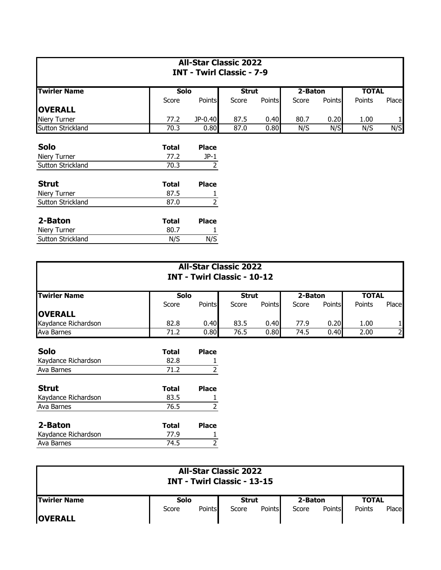| <b>All-Star Classic 2022</b><br><b>INT - Twirl Classic - 7-9</b> |       |              |              |               |         |               |              |              |
|------------------------------------------------------------------|-------|--------------|--------------|---------------|---------|---------------|--------------|--------------|
| <b>Twirler Name</b>                                              | Solo  |              | <b>Strut</b> |               | 2-Baton |               | <b>TOTAL</b> |              |
|                                                                  | Score | Points       | Score        | <b>Points</b> | Score   | <b>Points</b> | Points       | Place        |
| <b>OVERALL</b>                                                   |       |              |              |               |         |               |              |              |
| <b>Niery Turner</b>                                              | 77.2  | JP-0.40      | 87.5         | 0.40          | 80.7    | 0.20          | 1.00         | $\mathbf{1}$ |
| Sutton Strickland                                                | 70.3  | 0.80         | 87.0         | 0.80          | N/S     | N/S           | N/S          | N/S          |
| <b>Solo</b>                                                      | Total | <b>Place</b> |              |               |         |               |              |              |
| Niery Turner                                                     | 77.2  | $JP-1$       |              |               |         |               |              |              |
| Sutton Strickland                                                | 70.3  | 2            |              |               |         |               |              |              |
| <b>Strut</b>                                                     | Total | <b>Place</b> |              |               |         |               |              |              |
| Niery Turner                                                     | 87.5  |              |              |               |         |               |              |              |
| Sutton Strickland                                                | 87.0  | 2            |              |               |         |               |              |              |

| 2-Baton                  | Total | <b>Place</b> |
|--------------------------|-------|--------------|
| Niery Turner             | 80.7  |              |
| <b>Sutton Strickland</b> | N/S   | N/S          |
|                          |       |              |

Ava Barnes 2 2

| <b>All-Star Classic 2022</b><br><b>INT - Twirl Classic - 10-12</b> |              |               |              |               |         |               |              |       |
|--------------------------------------------------------------------|--------------|---------------|--------------|---------------|---------|---------------|--------------|-------|
| <b>Twirler Name</b>                                                | Solo         |               | <b>Strut</b> |               | 2-Baton |               | <b>TOTAL</b> |       |
|                                                                    | Score        | <b>Points</b> | Score        | <b>Points</b> | Score   | <b>Points</b> | Points       | Place |
| <b>OVERALL</b>                                                     |              |               |              |               |         |               |              |       |
| Kaydance Richardson                                                | 82.8         | 0.40          | 83.5         | 0.40          | 77.9    | 0.20          | 1.00         |       |
| Ava Barnes                                                         | 71.2         | 0.80          | 76.5         | 0.80          | 74.5    | 0.40          | 2.00         | 2     |
| <b>Solo</b>                                                        | <b>Total</b> | <b>Place</b>  |              |               |         |               |              |       |
| Kaydance Richardson                                                | 82.8         |               |              |               |         |               |              |       |
| Ava Barnes                                                         | 71.2         | 2             |              |               |         |               |              |       |
| <b>Strut</b>                                                       | <b>Total</b> | <b>Place</b>  |              |               |         |               |              |       |
| Kaydance Richardson                                                | 83.5         |               |              |               |         |               |              |       |
| Ava Barnes                                                         | 76.5         |               |              |               |         |               |              |       |
| 2-Baton                                                            | Total        | <b>Place</b>  |              |               |         |               |              |       |
| Kaydance Richardson                                                | 77.9         |               |              |               |         |               |              |       |

| <b>All-Star Classic 2022</b><br><b>INT - Twirl Classic - 13-15</b> |             |        |       |               |         |        |              |       |  |
|--------------------------------------------------------------------|-------------|--------|-------|---------------|---------|--------|--------------|-------|--|
| <b>ITwirler Name</b>                                               | <b>Solo</b> |        | Strut |               | 2-Baton |        | <b>TOTAL</b> |       |  |
| <b>OVERALL</b>                                                     | Score       | Points | Score | <b>Points</b> | Score   | Points | Points       | Place |  |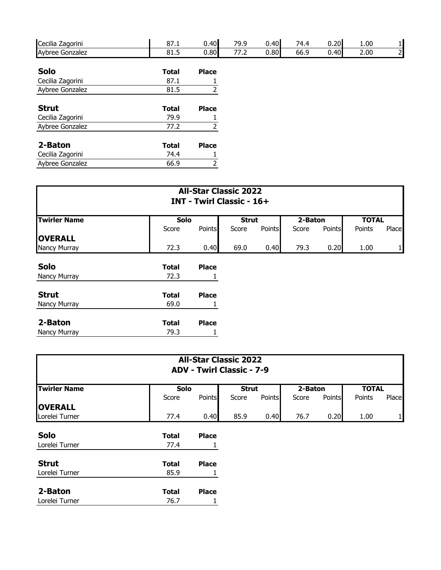| Cecilia Zagorini | 87.1         | 0.40         | 79.9 | 0.40 | 74.4 | 0.20 | 1.00 | $1\vert$  |
|------------------|--------------|--------------|------|------|------|------|------|-----------|
| Aybree Gonzalez  | 81.5         | 0.80         | 77.2 | 0.80 | 66.9 | 0.40 | 2.00 | $2 \vert$ |
|                  |              |              |      |      |      |      |      |           |
| <b>Solo</b>      | <b>Total</b> | <b>Place</b> |      |      |      |      |      |           |
| Cecilia Zagorini | 87.1         |              |      |      |      |      |      |           |
| Aybree Gonzalez  | 81.5         |              |      |      |      |      |      |           |
| <b>Strut</b>     | <b>Total</b> | <b>Place</b> |      |      |      |      |      |           |
| Cecilia Zagorini | 79.9         |              |      |      |      |      |      |           |
| Aybree Gonzalez  | 77.2         |              |      |      |      |      |      |           |
| 2-Baton          | <b>Total</b> | <b>Place</b> |      |      |      |      |      |           |
| Cecilia Zagorini | 74.4         |              |      |      |      |      |      |           |
| Aybree Gonzalez  | 66.9         |              |      |      |      |      |      |           |

| <b>All-Star Classic 2022</b><br><b>INT - Twirl Classic - 16+</b> |              |               |              |        |         |               |              |              |  |
|------------------------------------------------------------------|--------------|---------------|--------------|--------|---------|---------------|--------------|--------------|--|
| <b>Twirler Name</b>                                              | <b>Solo</b>  |               | <b>Strut</b> |        | 2-Baton |               | <b>TOTAL</b> |              |  |
|                                                                  | Score        | <b>Points</b> | Score        | Points | Score   | <b>Points</b> | Points       | Place        |  |
| <b>OVERALL</b><br>Nancy Murray                                   | 72.3         | 0.40          | 69.0         | 0.40   | 79.3    | 0.20          | 1.00         | $\mathbf{1}$ |  |
| <b>Solo</b>                                                      | <b>Total</b> | <b>Place</b>  |              |        |         |               |              |              |  |
| Nancy Murray                                                     | 72.3         |               |              |        |         |               |              |              |  |
| <b>Strut</b>                                                     | <b>Total</b> | <b>Place</b>  |              |        |         |               |              |              |  |
| Nancy Murray                                                     | 69.0         |               |              |        |         |               |              |              |  |
| 2-Baton                                                          | <b>Total</b> | <b>Place</b>  |              |        |         |               |              |              |  |
| Nancy Murray                                                     | 79.3         |               |              |        |         |               |              |              |  |

| <b>All-Star Classic 2022</b><br><b>ADV - Twirl Classic - 7-9</b> |              |              |              |        |         |        |              |              |  |
|------------------------------------------------------------------|--------------|--------------|--------------|--------|---------|--------|--------------|--------------|--|
| <b>Twirler Name</b>                                              | <b>Solo</b>  |              | <b>Strut</b> |        | 2-Baton |        | <b>TOTAL</b> |              |  |
|                                                                  | Score        | Points       | Score        | Points | Score   | Points | Points       | Place        |  |
| <b>OVERALL</b><br>Lorelei Turner                                 | 77.4         | 0.40         | 85.9         | 0.40   | 76.7    | 0.20   | 1.00         | $\mathbf{1}$ |  |
| Solo                                                             | <b>Total</b> | <b>Place</b> |              |        |         |        |              |              |  |
| Lorelei Turner                                                   | 77.4         |              |              |        |         |        |              |              |  |
| <b>Strut</b>                                                     | <b>Total</b> | <b>Place</b> |              |        |         |        |              |              |  |
| Lorelei Turner                                                   | 85.9         |              |              |        |         |        |              |              |  |
| 2-Baton                                                          | <b>Total</b> | <b>Place</b> |              |        |         |        |              |              |  |
| Lorelei Turner                                                   | 76.7         |              |              |        |         |        |              |              |  |